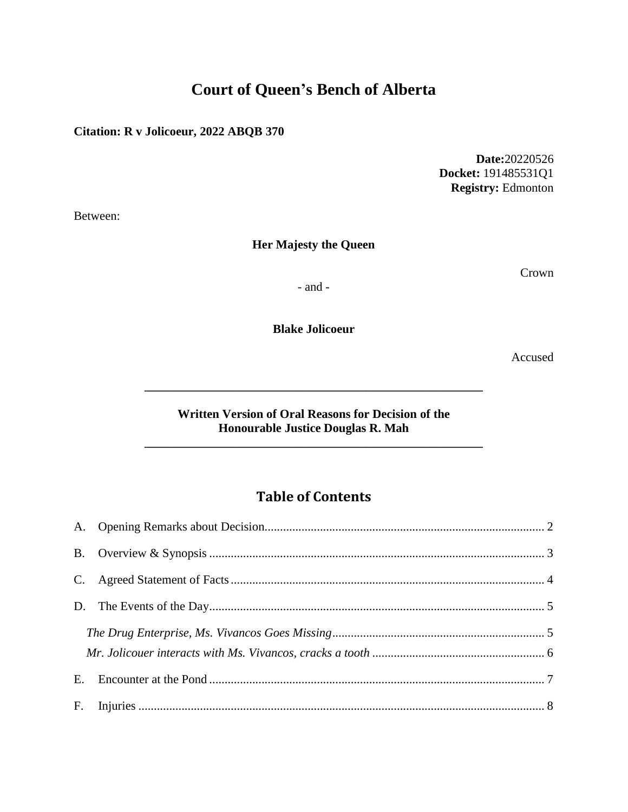# **Court of Queen's Bench of Alberta**

# **Citation: R v Jolicoeur, 2022 ABQB 370**

**Date:**20220526 **Docket:** 191485531Q1 **Registry:** Edmonton

Between:

# **Her Majesty the Queen**

Crown

- and -

**Blake Jolicoeur**

Accused

#### **Written Version of Oral Reasons for Decision of the Honourable Justice Douglas R. Mah**

**\_\_\_\_\_\_\_\_\_\_\_\_\_\_\_\_\_\_\_\_\_\_\_\_\_\_\_\_\_\_\_\_\_\_\_\_\_\_\_\_\_\_\_\_\_\_\_\_\_\_\_\_\_\_\_**

**\_\_\_\_\_\_\_\_\_\_\_\_\_\_\_\_\_\_\_\_\_\_\_\_\_\_\_\_\_\_\_\_\_\_\_\_\_\_\_\_\_\_\_\_\_\_\_\_\_\_\_\_\_\_\_**

# **Table of Contents**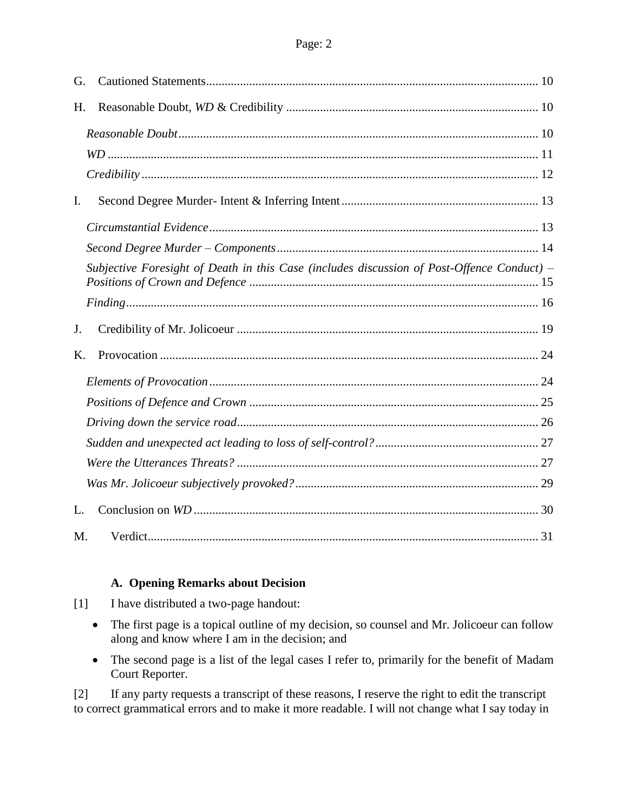| G. |                                                                                            |  |
|----|--------------------------------------------------------------------------------------------|--|
| H. |                                                                                            |  |
|    |                                                                                            |  |
|    |                                                                                            |  |
|    |                                                                                            |  |
| I. |                                                                                            |  |
|    |                                                                                            |  |
|    |                                                                                            |  |
|    | Subjective Foresight of Death in this Case (includes discussion of Post-Offence Conduct) - |  |
|    |                                                                                            |  |
| J. |                                                                                            |  |
| Κ. |                                                                                            |  |
|    |                                                                                            |  |
|    |                                                                                            |  |
|    |                                                                                            |  |
|    |                                                                                            |  |
|    |                                                                                            |  |
|    |                                                                                            |  |
| L. |                                                                                            |  |
| M. |                                                                                            |  |

#### **A. Opening Remarks about Decision**

- <span id="page-1-0"></span>[1] I have distributed a two-page handout:
	- The first page is a topical outline of my decision, so counsel and Mr. Jolicoeur can follow along and know where I am in the decision; and
	- The second page is a list of the legal cases I refer to, primarily for the benefit of Madam Court Reporter.

[2] If any party requests a transcript of these reasons, I reserve the right to edit the transcript to correct grammatical errors and to make it more readable. I will not change what I say today in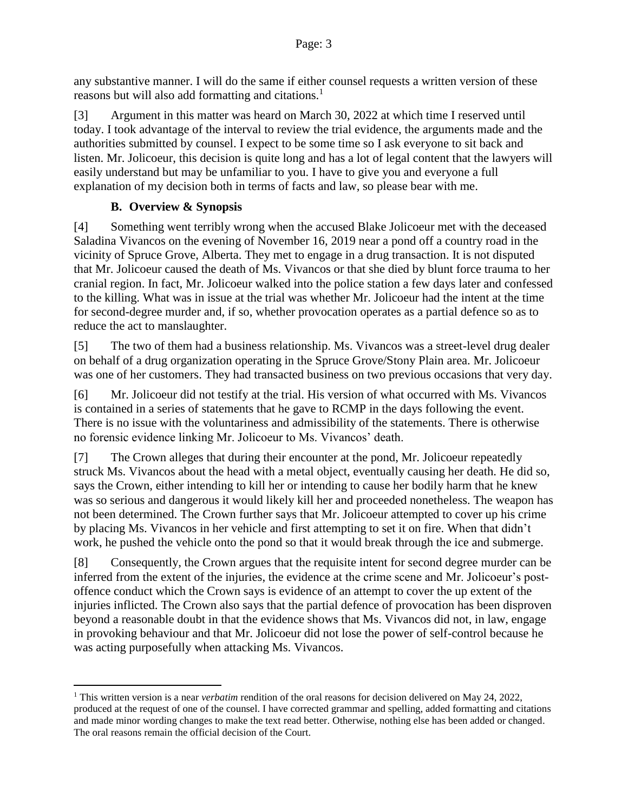any substantive manner. I will do the same if either counsel requests a written version of these reasons but will also add formatting and citations.<sup>1</sup>

[3] Argument in this matter was heard on March 30, 2022 at which time I reserved until today. I took advantage of the interval to review the trial evidence, the arguments made and the authorities submitted by counsel. I expect to be some time so I ask everyone to sit back and listen. Mr. Jolicoeur, this decision is quite long and has a lot of legal content that the lawyers will easily understand but may be unfamiliar to you. I have to give you and everyone a full explanation of my decision both in terms of facts and law, so please bear with me.

#### **B. Overview & Synopsis**

 $\overline{a}$ 

<span id="page-2-0"></span>[4] Something went terribly wrong when the accused Blake Jolicoeur met with the deceased Saladina Vivancos on the evening of November 16, 2019 near a pond off a country road in the vicinity of Spruce Grove, Alberta. They met to engage in a drug transaction. It is not disputed that Mr. Jolicoeur caused the death of Ms. Vivancos or that she died by blunt force trauma to her cranial region. In fact, Mr. Jolicoeur walked into the police station a few days later and confessed to the killing. What was in issue at the trial was whether Mr. Jolicoeur had the intent at the time for second-degree murder and, if so, whether provocation operates as a partial defence so as to reduce the act to manslaughter.

[5] The two of them had a business relationship. Ms. Vivancos was a street-level drug dealer on behalf of a drug organization operating in the Spruce Grove/Stony Plain area. Mr. Jolicoeur was one of her customers. They had transacted business on two previous occasions that very day.

[6] Mr. Jolicoeur did not testify at the trial. His version of what occurred with Ms. Vivancos is contained in a series of statements that he gave to RCMP in the days following the event. There is no issue with the voluntariness and admissibility of the statements. There is otherwise no forensic evidence linking Mr. Jolicoeur to Ms. Vivancos' death.

[7] The Crown alleges that during their encounter at the pond, Mr. Jolicoeur repeatedly struck Ms. Vivancos about the head with a metal object, eventually causing her death. He did so, says the Crown, either intending to kill her or intending to cause her bodily harm that he knew was so serious and dangerous it would likely kill her and proceeded nonetheless. The weapon has not been determined. The Crown further says that Mr. Jolicoeur attempted to cover up his crime by placing Ms. Vivancos in her vehicle and first attempting to set it on fire. When that didn't work, he pushed the vehicle onto the pond so that it would break through the ice and submerge.

[8] Consequently, the Crown argues that the requisite intent for second degree murder can be inferred from the extent of the injuries, the evidence at the crime scene and Mr. Jolicoeur's postoffence conduct which the Crown says is evidence of an attempt to cover the up extent of the injuries inflicted. The Crown also says that the partial defence of provocation has been disproven beyond a reasonable doubt in that the evidence shows that Ms. Vivancos did not, in law, engage in provoking behaviour and that Mr. Jolicoeur did not lose the power of self-control because he was acting purposefully when attacking Ms. Vivancos.

<sup>1</sup> This written version is a near *verbatim* rendition of the oral reasons for decision delivered on May 24, 2022, produced at the request of one of the counsel. I have corrected grammar and spelling, added formatting and citations and made minor wording changes to make the text read better. Otherwise, nothing else has been added or changed. The oral reasons remain the official decision of the Court.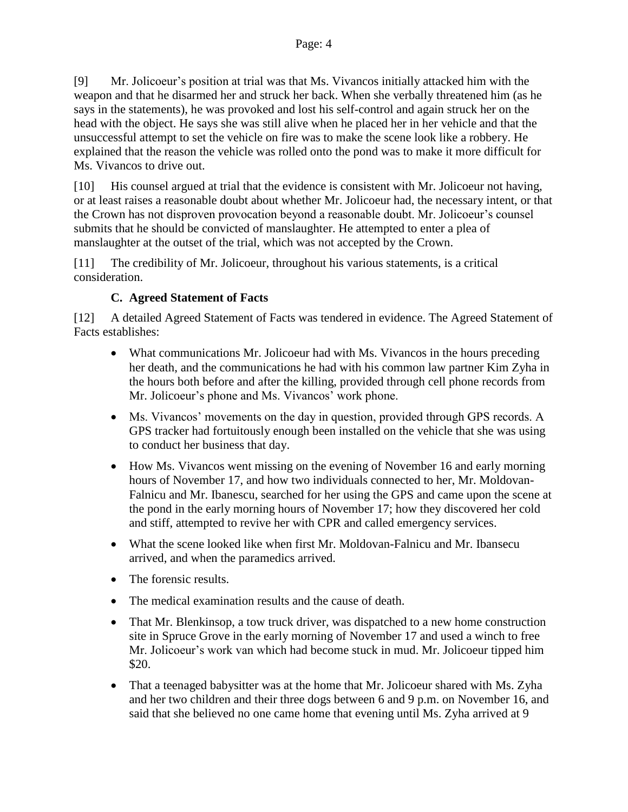[9] Mr. Jolicoeur's position at trial was that Ms. Vivancos initially attacked him with the weapon and that he disarmed her and struck her back. When she verbally threatened him (as he says in the statements), he was provoked and lost his self-control and again struck her on the head with the object. He says she was still alive when he placed her in her vehicle and that the unsuccessful attempt to set the vehicle on fire was to make the scene look like a robbery. He explained that the reason the vehicle was rolled onto the pond was to make it more difficult for Ms. Vivancos to drive out.

[10] His counsel argued at trial that the evidence is consistent with Mr. Jolicoeur not having, or at least raises a reasonable doubt about whether Mr. Jolicoeur had, the necessary intent, or that the Crown has not disproven provocation beyond a reasonable doubt. Mr. Jolicoeur's counsel submits that he should be convicted of manslaughter. He attempted to enter a plea of manslaughter at the outset of the trial, which was not accepted by the Crown.

[11] The credibility of Mr. Jolicoeur, throughout his various statements, is a critical consideration.

# **C. Agreed Statement of Facts**

<span id="page-3-0"></span>[12] A detailed Agreed Statement of Facts was tendered in evidence. The Agreed Statement of Facts establishes:

- What communications Mr. Jolicoeur had with Ms. Vivancos in the hours preceding her death, and the communications he had with his common law partner Kim Zyha in the hours both before and after the killing, provided through cell phone records from Mr. Jolicoeur's phone and Ms. Vivancos' work phone.
- Ms. Vivancos' movements on the day in question, provided through GPS records. A GPS tracker had fortuitously enough been installed on the vehicle that she was using to conduct her business that day.
- How Ms. Vivancos went missing on the evening of November 16 and early morning hours of November 17, and how two individuals connected to her, Mr. Moldovan-Falnicu and Mr. Ibanescu, searched for her using the GPS and came upon the scene at the pond in the early morning hours of November 17; how they discovered her cold and stiff, attempted to revive her with CPR and called emergency services.
- What the scene looked like when first Mr. Moldovan-Falnicu and Mr. Ibansecu arrived, and when the paramedics arrived.
- The forensic results.
- The medical examination results and the cause of death.
- That Mr. Blenkinsop, a tow truck driver, was dispatched to a new home construction site in Spruce Grove in the early morning of November 17 and used a winch to free Mr. Jolicoeur's work van which had become stuck in mud. Mr. Jolicoeur tipped him \$20.
- That a teenaged babysitter was at the home that Mr. Jolicoeur shared with Ms. Zyha and her two children and their three dogs between 6 and 9 p.m. on November 16, and said that she believed no one came home that evening until Ms. Zyha arrived at 9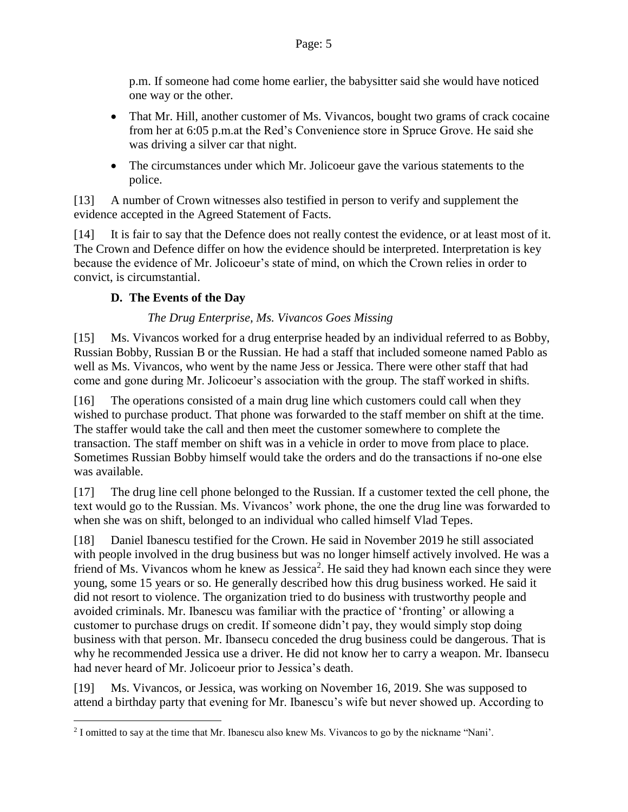p.m. If someone had come home earlier, the babysitter said she would have noticed one way or the other.

- That Mr. Hill, another customer of Ms. Vivancos, bought two grams of crack cocaine from her at 6:05 p.m.at the Red's Convenience store in Spruce Grove. He said she was driving a silver car that night.
- The circumstances under which Mr. Jolicoeur gave the various statements to the police.

[13] A number of Crown witnesses also testified in person to verify and supplement the evidence accepted in the Agreed Statement of Facts.

[14] It is fair to say that the Defence does not really contest the evidence, or at least most of it. The Crown and Defence differ on how the evidence should be interpreted. Interpretation is key because the evidence of Mr. Jolicoeur's state of mind, on which the Crown relies in order to convict, is circumstantial.

# <span id="page-4-0"></span>**D. The Events of the Day**

 $\overline{a}$ 

#### *The Drug Enterprise, Ms. Vivancos Goes Missing*

<span id="page-4-1"></span>[15] Ms. Vivancos worked for a drug enterprise headed by an individual referred to as Bobby, Russian Bobby, Russian B or the Russian. He had a staff that included someone named Pablo as well as Ms. Vivancos, who went by the name Jess or Jessica. There were other staff that had come and gone during Mr. Jolicoeur's association with the group. The staff worked in shifts.

[16] The operations consisted of a main drug line which customers could call when they wished to purchase product. That phone was forwarded to the staff member on shift at the time. The staffer would take the call and then meet the customer somewhere to complete the transaction. The staff member on shift was in a vehicle in order to move from place to place. Sometimes Russian Bobby himself would take the orders and do the transactions if no-one else was available.

[17] The drug line cell phone belonged to the Russian. If a customer texted the cell phone, the text would go to the Russian. Ms. Vivancos' work phone, the one the drug line was forwarded to when she was on shift, belonged to an individual who called himself Vlad Tepes.

[18] Daniel Ibanescu testified for the Crown. He said in November 2019 he still associated with people involved in the drug business but was no longer himself actively involved. He was a friend of Ms. Vivancos whom he knew as Jessica<sup>2</sup>. He said they had known each since they were young, some 15 years or so. He generally described how this drug business worked. He said it did not resort to violence. The organization tried to do business with trustworthy people and avoided criminals. Mr. Ibanescu was familiar with the practice of 'fronting' or allowing a customer to purchase drugs on credit. If someone didn't pay, they would simply stop doing business with that person. Mr. Ibansecu conceded the drug business could be dangerous. That is why he recommended Jessica use a driver. He did not know her to carry a weapon. Mr. Ibansecu had never heard of Mr. Jolicoeur prior to Jessica's death.

[19] Ms. Vivancos, or Jessica, was working on November 16, 2019. She was supposed to attend a birthday party that evening for Mr. Ibanescu's wife but never showed up. According to

<sup>&</sup>lt;sup>2</sup> I omitted to say at the time that Mr. Ibanescu also knew Ms. Vivancos to go by the nickname "Nani'.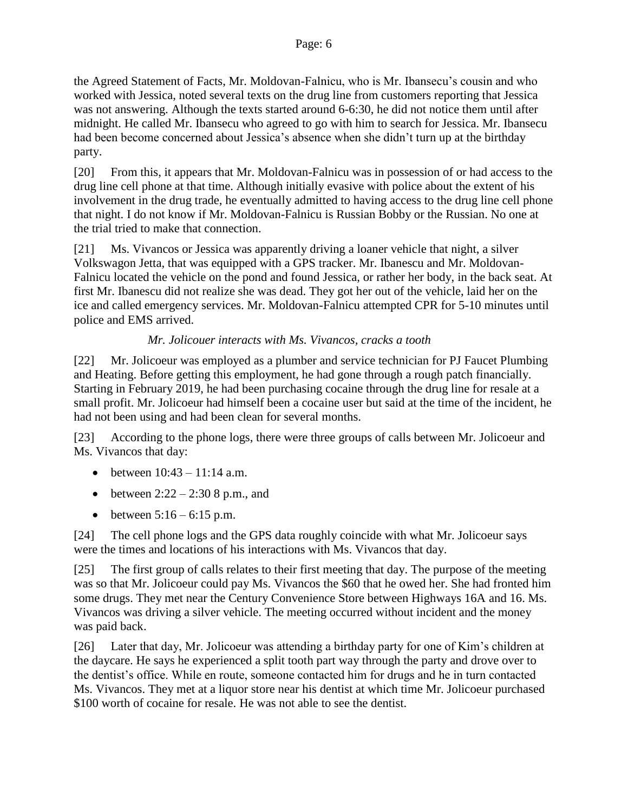the Agreed Statement of Facts, Mr. Moldovan-Falnicu, who is Mr. Ibansecu's cousin and who worked with Jessica, noted several texts on the drug line from customers reporting that Jessica was not answering. Although the texts started around 6-6:30, he did not notice them until after midnight. He called Mr. Ibansecu who agreed to go with him to search for Jessica. Mr. Ibansecu had been become concerned about Jessica's absence when she didn't turn up at the birthday party.

[20] From this, it appears that Mr. Moldovan-Falnicu was in possession of or had access to the drug line cell phone at that time. Although initially evasive with police about the extent of his involvement in the drug trade, he eventually admitted to having access to the drug line cell phone that night. I do not know if Mr. Moldovan-Falnicu is Russian Bobby or the Russian. No one at the trial tried to make that connection.

[21] Ms. Vivancos or Jessica was apparently driving a loaner vehicle that night, a silver Volkswagon Jetta, that was equipped with a GPS tracker. Mr. Ibanescu and Mr. Moldovan-Falnicu located the vehicle on the pond and found Jessica, or rather her body, in the back seat. At first Mr. Ibanescu did not realize she was dead. They got her out of the vehicle, laid her on the ice and called emergency services. Mr. Moldovan-Falnicu attempted CPR for 5-10 minutes until police and EMS arrived.

# *Mr. Jolicouer interacts with Ms. Vivancos, cracks a tooth*

<span id="page-5-0"></span>[22] Mr. Jolicoeur was employed as a plumber and service technician for PJ Faucet Plumbing and Heating. Before getting this employment, he had gone through a rough patch financially. Starting in February 2019, he had been purchasing cocaine through the drug line for resale at a small profit. Mr. Jolicoeur had himself been a cocaine user but said at the time of the incident, he had not been using and had been clean for several months.

[23] According to the phone logs, there were three groups of calls between Mr. Jolicoeur and Ms. Vivancos that day:

- between  $10:43 11:14$  a.m.
- between  $2:22 2:308$  p.m., and
- between  $5:16 6:15$  p.m.

[24] The cell phone logs and the GPS data roughly coincide with what Mr. Jolicoeur says were the times and locations of his interactions with Ms. Vivancos that day.

[25] The first group of calls relates to their first meeting that day. The purpose of the meeting was so that Mr. Jolicoeur could pay Ms. Vivancos the \$60 that he owed her. She had fronted him some drugs. They met near the Century Convenience Store between Highways 16A and 16. Ms. Vivancos was driving a silver vehicle. The meeting occurred without incident and the money was paid back.

[26] Later that day, Mr. Jolicoeur was attending a birthday party for one of Kim's children at the daycare. He says he experienced a split tooth part way through the party and drove over to the dentist's office. While en route, someone contacted him for drugs and he in turn contacted Ms. Vivancos. They met at a liquor store near his dentist at which time Mr. Jolicoeur purchased \$100 worth of cocaine for resale. He was not able to see the dentist.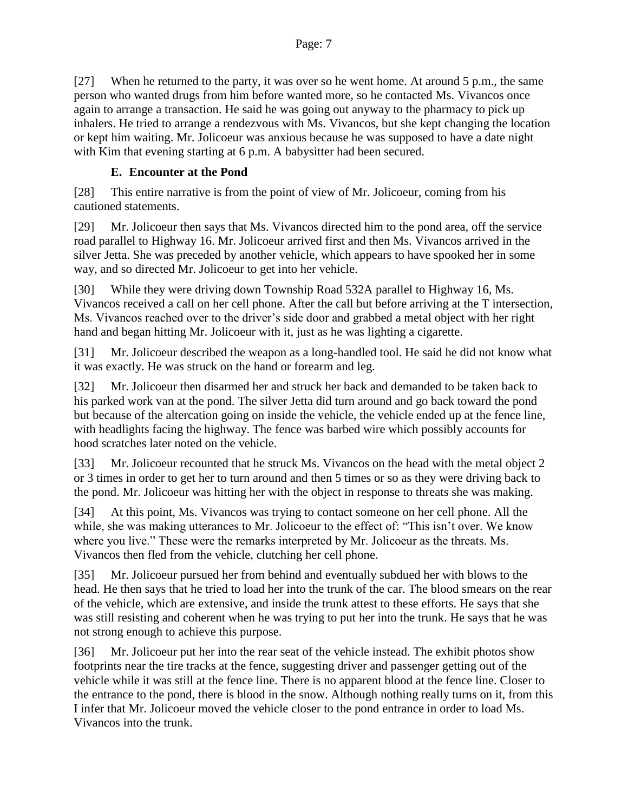[27] When he returned to the party, it was over so he went home. At around 5 p.m., the same person who wanted drugs from him before wanted more, so he contacted Ms. Vivancos once again to arrange a transaction. He said he was going out anyway to the pharmacy to pick up inhalers. He tried to arrange a rendezvous with Ms. Vivancos, but she kept changing the location or kept him waiting. Mr. Jolicoeur was anxious because he was supposed to have a date night with Kim that evening starting at 6 p.m. A babysitter had been secured.

# **E. Encounter at the Pond**

<span id="page-6-0"></span>[28] This entire narrative is from the point of view of Mr. Jolicoeur, coming from his cautioned statements.

[29] Mr. Jolicoeur then says that Ms. Vivancos directed him to the pond area, off the service road parallel to Highway 16. Mr. Jolicoeur arrived first and then Ms. Vivancos arrived in the silver Jetta. She was preceded by another vehicle, which appears to have spooked her in some way, and so directed Mr. Jolicoeur to get into her vehicle.

[30] While they were driving down Township Road 532A parallel to Highway 16, Ms. Vivancos received a call on her cell phone. After the call but before arriving at the T intersection, Ms. Vivancos reached over to the driver's side door and grabbed a metal object with her right hand and began hitting Mr. Jolicoeur with it, just as he was lighting a cigarette.

[31] Mr. Jolicoeur described the weapon as a long-handled tool. He said he did not know what it was exactly. He was struck on the hand or forearm and leg.

[32] Mr. Jolicoeur then disarmed her and struck her back and demanded to be taken back to his parked work van at the pond. The silver Jetta did turn around and go back toward the pond but because of the altercation going on inside the vehicle, the vehicle ended up at the fence line, with headlights facing the highway. The fence was barbed wire which possibly accounts for hood scratches later noted on the vehicle.

[33] Mr. Jolicoeur recounted that he struck Ms. Vivancos on the head with the metal object 2 or 3 times in order to get her to turn around and then 5 times or so as they were driving back to the pond. Mr. Jolicoeur was hitting her with the object in response to threats she was making.

[34] At this point, Ms. Vivancos was trying to contact someone on her cell phone. All the while, she was making utterances to Mr. Jolicoeur to the effect of: "This isn't over. We know where you live." These were the remarks interpreted by Mr. Jolicoeur as the threats. Ms. Vivancos then fled from the vehicle, clutching her cell phone.

[35] Mr. Jolicoeur pursued her from behind and eventually subdued her with blows to the head. He then says that he tried to load her into the trunk of the car. The blood smears on the rear of the vehicle, which are extensive, and inside the trunk attest to these efforts. He says that she was still resisting and coherent when he was trying to put her into the trunk. He says that he was not strong enough to achieve this purpose.

[36] Mr. Jolicoeur put her into the rear seat of the vehicle instead. The exhibit photos show footprints near the tire tracks at the fence, suggesting driver and passenger getting out of the vehicle while it was still at the fence line. There is no apparent blood at the fence line. Closer to the entrance to the pond, there is blood in the snow. Although nothing really turns on it, from this I infer that Mr. Jolicoeur moved the vehicle closer to the pond entrance in order to load Ms. Vivancos into the trunk.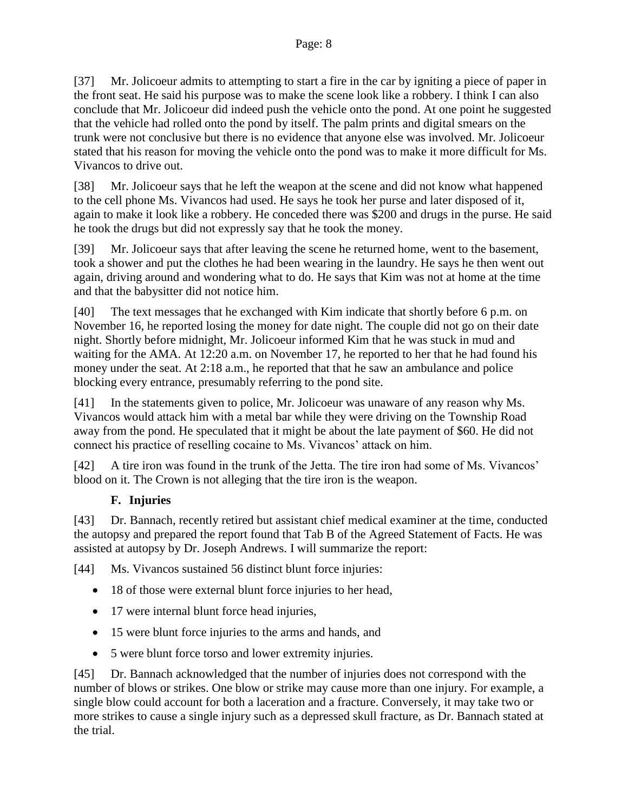[37] Mr. Jolicoeur admits to attempting to start a fire in the car by igniting a piece of paper in the front seat. He said his purpose was to make the scene look like a robbery. I think I can also conclude that Mr. Jolicoeur did indeed push the vehicle onto the pond. At one point he suggested that the vehicle had rolled onto the pond by itself. The palm prints and digital smears on the trunk were not conclusive but there is no evidence that anyone else was involved. Mr. Jolicoeur stated that his reason for moving the vehicle onto the pond was to make it more difficult for Ms. Vivancos to drive out.

[38] Mr. Jolicoeur says that he left the weapon at the scene and did not know what happened to the cell phone Ms. Vivancos had used. He says he took her purse and later disposed of it, again to make it look like a robbery. He conceded there was \$200 and drugs in the purse. He said he took the drugs but did not expressly say that he took the money.

[39] Mr. Jolicoeur says that after leaving the scene he returned home, went to the basement, took a shower and put the clothes he had been wearing in the laundry. He says he then went out again, driving around and wondering what to do. He says that Kim was not at home at the time and that the babysitter did not notice him.

[40] The text messages that he exchanged with Kim indicate that shortly before 6 p.m. on November 16, he reported losing the money for date night. The couple did not go on their date night. Shortly before midnight, Mr. Jolicoeur informed Kim that he was stuck in mud and waiting for the AMA. At 12:20 a.m. on November 17, he reported to her that he had found his money under the seat. At 2:18 a.m., he reported that that he saw an ambulance and police blocking every entrance, presumably referring to the pond site.

[41] In the statements given to police, Mr. Jolicoeur was unaware of any reason why Ms. Vivancos would attack him with a metal bar while they were driving on the Township Road away from the pond. He speculated that it might be about the late payment of \$60. He did not connect his practice of reselling cocaine to Ms. Vivancos' attack on him.

[42] A tire iron was found in the trunk of the Jetta. The tire iron had some of Ms. Vivancos' blood on it. The Crown is not alleging that the tire iron is the weapon.

# **F. Injuries**

<span id="page-7-0"></span>[43] Dr. Bannach, recently retired but assistant chief medical examiner at the time, conducted the autopsy and prepared the report found that Tab B of the Agreed Statement of Facts. He was assisted at autopsy by Dr. Joseph Andrews. I will summarize the report:

[44] Ms. Vivancos sustained 56 distinct blunt force injuries:

- 18 of those were external blunt force injuries to her head,
- 17 were internal blunt force head injuries,
- 15 were blunt force injuries to the arms and hands, and
- 5 were blunt force torso and lower extremity injuries.

[45] Dr. Bannach acknowledged that the number of injuries does not correspond with the number of blows or strikes. One blow or strike may cause more than one injury. For example, a single blow could account for both a laceration and a fracture. Conversely, it may take two or more strikes to cause a single injury such as a depressed skull fracture, as Dr. Bannach stated at the trial.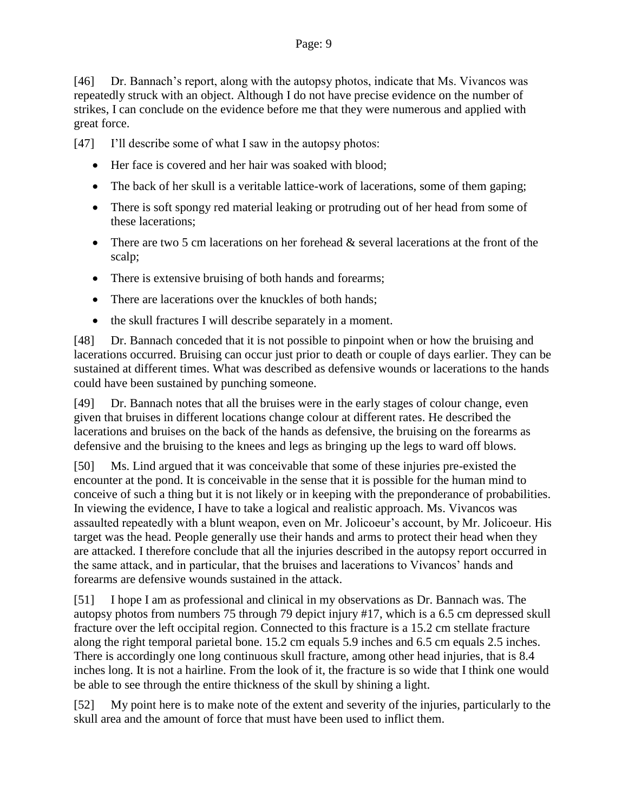[46] Dr. Bannach's report, along with the autopsy photos, indicate that Ms. Vivancos was repeatedly struck with an object. Although I do not have precise evidence on the number of strikes, I can conclude on the evidence before me that they were numerous and applied with great force.

[47] I'll describe some of what I saw in the autopsy photos:

- Her face is covered and her hair was soaked with blood;
- The back of her skull is a veritable lattice-work of lacerations, some of them gaping;
- There is soft spongy red material leaking or protruding out of her head from some of these lacerations;
- There are two 5 cm lacerations on her forehead  $\&$  several lacerations at the front of the scalp;
- There is extensive bruising of both hands and forearms;
- There are lacerations over the knuckles of both hands;
- the skull fractures I will describe separately in a moment.

[48] Dr. Bannach conceded that it is not possible to pinpoint when or how the bruising and lacerations occurred. Bruising can occur just prior to death or couple of days earlier. They can be sustained at different times. What was described as defensive wounds or lacerations to the hands could have been sustained by punching someone.

[49] Dr. Bannach notes that all the bruises were in the early stages of colour change, even given that bruises in different locations change colour at different rates. He described the lacerations and bruises on the back of the hands as defensive, the bruising on the forearms as defensive and the bruising to the knees and legs as bringing up the legs to ward off blows.

[50] Ms. Lind argued that it was conceivable that some of these injuries pre-existed the encounter at the pond. It is conceivable in the sense that it is possible for the human mind to conceive of such a thing but it is not likely or in keeping with the preponderance of probabilities. In viewing the evidence, I have to take a logical and realistic approach. Ms. Vivancos was assaulted repeatedly with a blunt weapon, even on Mr. Jolicoeur's account, by Mr. Jolicoeur. His target was the head. People generally use their hands and arms to protect their head when they are attacked. I therefore conclude that all the injuries described in the autopsy report occurred in the same attack, and in particular, that the bruises and lacerations to Vivancos' hands and forearms are defensive wounds sustained in the attack.

[51] I hope I am as professional and clinical in my observations as Dr. Bannach was. The autopsy photos from numbers 75 through 79 depict injury #17, which is a 6.5 cm depressed skull fracture over the left occipital region. Connected to this fracture is a 15.2 cm stellate fracture along the right temporal parietal bone. 15.2 cm equals 5.9 inches and 6.5 cm equals 2.5 inches. There is accordingly one long continuous skull fracture, among other head injuries, that is 8.4 inches long. It is not a hairline. From the look of it, the fracture is so wide that I think one would be able to see through the entire thickness of the skull by shining a light.

[52] My point here is to make note of the extent and severity of the injuries, particularly to the skull area and the amount of force that must have been used to inflict them.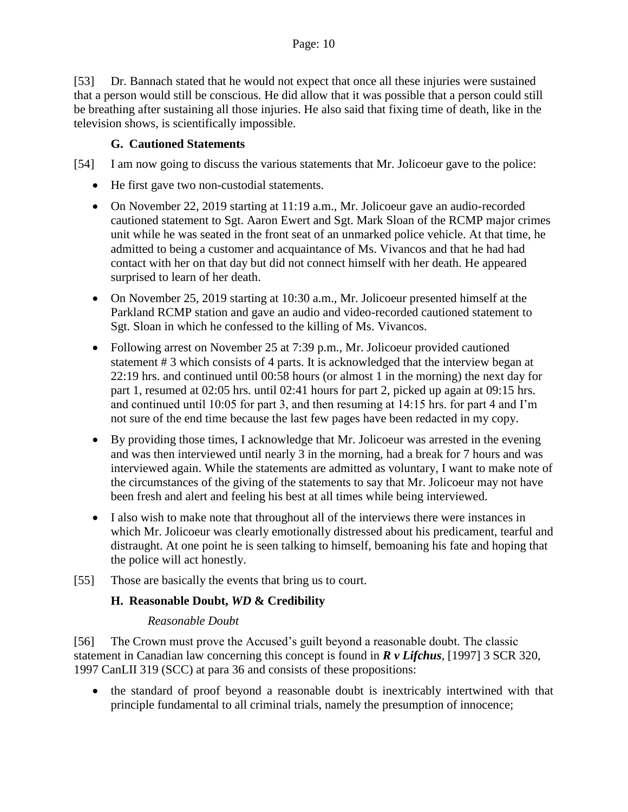[53] Dr. Bannach stated that he would not expect that once all these injuries were sustained that a person would still be conscious. He did allow that it was possible that a person could still be breathing after sustaining all those injuries. He also said that fixing time of death, like in the television shows, is scientifically impossible.

#### **G. Cautioned Statements**

<span id="page-9-0"></span>[54] I am now going to discuss the various statements that Mr. Jolicoeur gave to the police:

- He first gave two non-custodial statements.
- On November 22, 2019 starting at 11:19 a.m., Mr. Jolicoeur gave an audio-recorded cautioned statement to Sgt. Aaron Ewert and Sgt. Mark Sloan of the RCMP major crimes unit while he was seated in the front seat of an unmarked police vehicle. At that time, he admitted to being a customer and acquaintance of Ms. Vivancos and that he had had contact with her on that day but did not connect himself with her death. He appeared surprised to learn of her death.
- On November 25, 2019 starting at 10:30 a.m., Mr. Jolicoeur presented himself at the Parkland RCMP station and gave an audio and video-recorded cautioned statement to Sgt. Sloan in which he confessed to the killing of Ms. Vivancos.
- Following arrest on November 25 at 7:39 p.m., Mr. Jolicoeur provided cautioned statement # 3 which consists of 4 parts. It is acknowledged that the interview began at 22:19 hrs. and continued until 00:58 hours (or almost 1 in the morning) the next day for part 1, resumed at 02:05 hrs. until 02:41 hours for part 2, picked up again at 09:15 hrs. and continued until 10:05 for part 3, and then resuming at 14:15 hrs. for part 4 and I'm not sure of the end time because the last few pages have been redacted in my copy.
- By providing those times, I acknowledge that Mr. Jolicoeur was arrested in the evening and was then interviewed until nearly 3 in the morning, had a break for 7 hours and was interviewed again. While the statements are admitted as voluntary, I want to make note of the circumstances of the giving of the statements to say that Mr. Jolicoeur may not have been fresh and alert and feeling his best at all times while being interviewed.
- I also wish to make note that throughout all of the interviews there were instances in which Mr. Jolicoeur was clearly emotionally distressed about his predicament, tearful and distraught. At one point he is seen talking to himself, bemoaning his fate and hoping that the police will act honestly.
- <span id="page-9-1"></span>[55] Those are basically the events that bring us to court.

#### **H. Reasonable Doubt,** *WD* **& Credibility**

#### *Reasonable Doubt*

<span id="page-9-2"></span>[56] The Crown must prove the Accused's guilt beyond a reasonable doubt. The classic statement in Canadian law concerning this concept is found in *R v Lifchus*, [1997] 3 SCR 320, 1997 CanLII 319 (SCC) at para 36 and consists of these propositions:

 the standard of proof beyond a reasonable doubt is inextricably intertwined with that principle fundamental to all criminal trials, namely the presumption of innocence;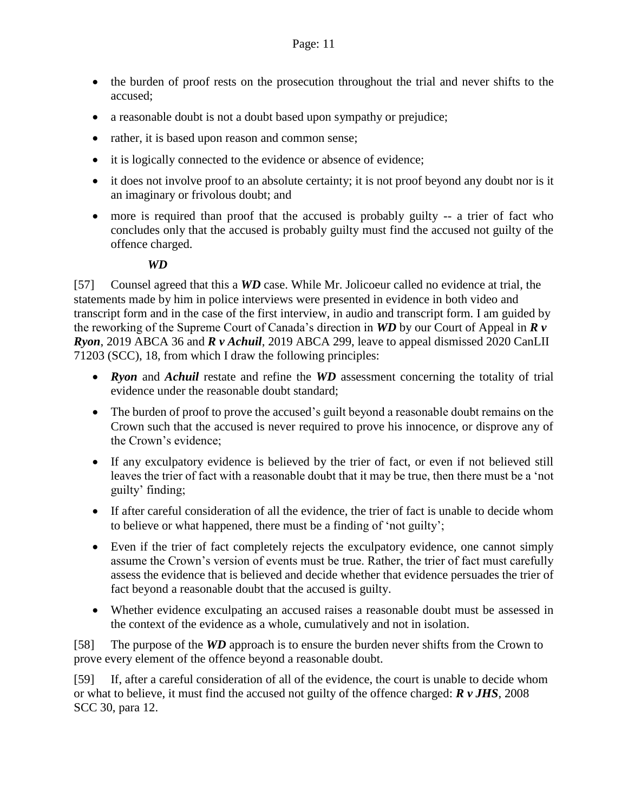- the burden of proof rests on the prosecution throughout the trial and never shifts to the accused;
- a reasonable doubt is not a doubt based upon sympathy or prejudice;
- rather, it is based upon reason and common sense;
- it is logically connected to the evidence or absence of evidence;
- it does not involve proof to an absolute certainty; it is not proof beyond any doubt nor is it an imaginary or frivolous doubt; and
- more is required than proof that the accused is probably guilty -- a trier of fact who concludes only that the accused is probably guilty must find the accused not guilty of the offence charged.

#### *WD*

<span id="page-10-0"></span>[57] Counsel agreed that this a *WD* case. While Mr. Jolicoeur called no evidence at trial, the statements made by him in police interviews were presented in evidence in both video and transcript form and in the case of the first interview, in audio and transcript form. I am guided by the reworking of the Supreme Court of Canada's direction in *WD* by our Court of Appeal in *R v Ryon*, 2019 ABCA 36 and *R v Achuil*, 2019 ABCA 299, leave to appeal dismissed 2020 CanLII 71203 (SCC), 18, from which I draw the following principles:

- *Ryon* and *Achuil* restate and refine the *WD* assessment concerning the totality of trial evidence under the reasonable doubt standard;
- The burden of proof to prove the accused's guilt beyond a reasonable doubt remains on the Crown such that the accused is never required to prove his innocence, or disprove any of the Crown's evidence;
- If any exculpatory evidence is believed by the trier of fact, or even if not believed still leaves the trier of fact with a reasonable doubt that it may be true, then there must be a 'not guilty' finding;
- If after careful consideration of all the evidence, the trier of fact is unable to decide whom to believe or what happened, there must be a finding of 'not guilty';
- Even if the trier of fact completely rejects the exculpatory evidence, one cannot simply assume the Crown's version of events must be true. Rather, the trier of fact must carefully assess the evidence that is believed and decide whether that evidence persuades the trier of fact beyond a reasonable doubt that the accused is guilty.
- Whether evidence exculpating an accused raises a reasonable doubt must be assessed in the context of the evidence as a whole, cumulatively and not in isolation.

[58] The purpose of the *WD* approach is to ensure the burden never shifts from the Crown to prove every element of the offence beyond a reasonable doubt.

[59] If, after a careful consideration of all of the evidence, the court is unable to decide whom or what to believe, it must find the accused not guilty of the offence charged: *R v JHS*, 2008 SCC 30, para 12.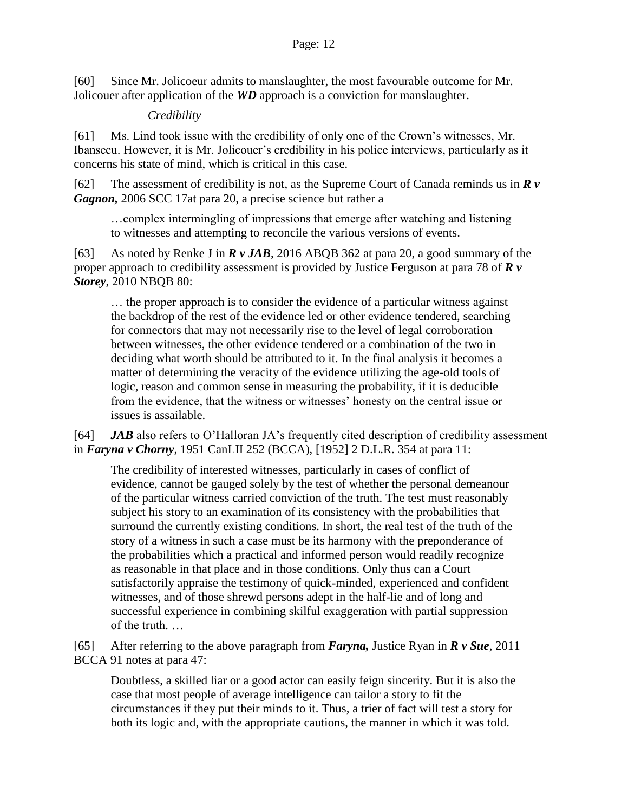[60] Since Mr. Jolicoeur admits to manslaughter, the most favourable outcome for Mr. Jolicouer after application of the *WD* approach is a conviction for manslaughter.

#### *Credibility*

<span id="page-11-0"></span>[61] Ms. Lind took issue with the credibility of only one of the Crown's witnesses, Mr. Ibansecu. However, it is Mr. Jolicouer's credibility in his police interviews, particularly as it concerns his state of mind, which is critical in this case.

[62] The assessment of credibility is not, as the Supreme Court of Canada reminds us in *R v Gagnon,* 2006 SCC 17at para 20, a precise science but rather a

…complex intermingling of impressions that emerge after watching and listening to witnesses and attempting to reconcile the various versions of events.

[63] As noted by Renke J in *R v JAB*, 2016 ABQB 362 at para 20, a good summary of the proper approach to credibility assessment is provided by Justice Ferguson at para 78 of *R v Storey*, 2010 NBQB 80:

… the proper approach is to consider the evidence of a particular witness against the backdrop of the rest of the evidence led or other evidence tendered, searching for connectors that may not necessarily rise to the level of legal corroboration between witnesses, the other evidence tendered or a combination of the two in deciding what worth should be attributed to it. In the final analysis it becomes a matter of determining the veracity of the evidence utilizing the age-old tools of logic, reason and common sense in measuring the probability, if it is deducible from the evidence, that the witness or witnesses' honesty on the central issue or issues is assailable.

[64] *JAB* also refers to O'Halloran JA's frequently cited description of credibility assessment in *Faryna v Chorny*, 1951 CanLII 252 (BCCA), [1952] 2 D.L.R. 354 at para 11:

The credibility of interested witnesses, particularly in cases of conflict of evidence, cannot be gauged solely by the test of whether the personal demeanour of the particular witness carried conviction of the truth. The test must reasonably subject his story to an examination of its consistency with the probabilities that surround the currently existing conditions. In short, the real test of the truth of the story of a witness in such a case must be its harmony with the preponderance of the probabilities which a practical and informed person would readily recognize as reasonable in that place and in those conditions. Only thus can a Court satisfactorily appraise the testimony of quick-minded, experienced and confident witnesses, and of those shrewd persons adept in the half-lie and of long and successful experience in combining skilful exaggeration with partial suppression of the truth. …

[65] After referring to the above paragraph from *Faryna,* Justice Ryan in *R v Sue*, 2011 BCCA 91 notes at para 47:

Doubtless, a skilled liar or a good actor can easily feign sincerity. But it is also the case that most people of average intelligence can tailor a story to fit the circumstances if they put their minds to it. Thus, a trier of fact will test a story for both its logic and, with the appropriate cautions, the manner in which it was told.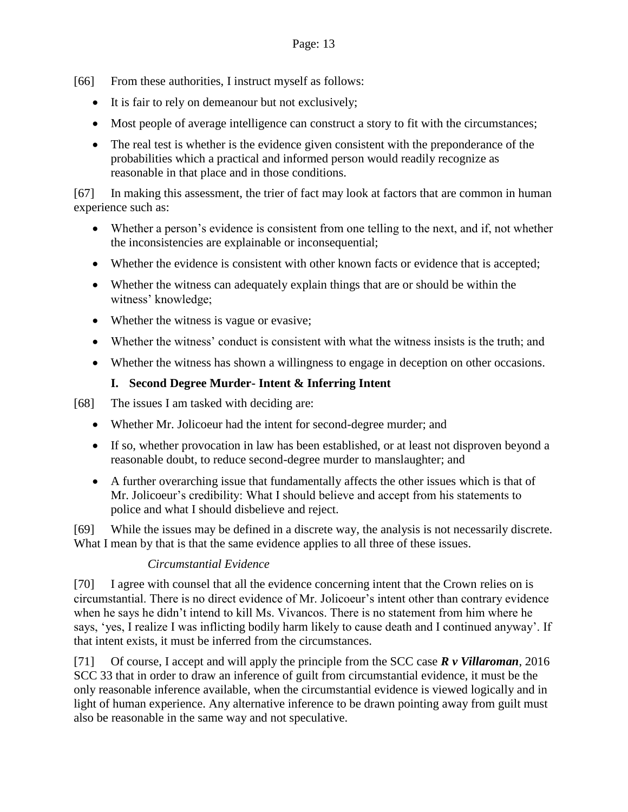- [66] From these authorities, I instruct myself as follows:
	- It is fair to rely on demeanour but not exclusively;
	- Most people of average intelligence can construct a story to fit with the circumstances;
	- The real test is whether is the evidence given consistent with the preponderance of the probabilities which a practical and informed person would readily recognize as reasonable in that place and in those conditions.

[67] In making this assessment, the trier of fact may look at factors that are common in human experience such as:

- Whether a person's evidence is consistent from one telling to the next, and if, not whether the inconsistencies are explainable or inconsequential;
- Whether the evidence is consistent with other known facts or evidence that is accepted;
- Whether the witness can adequately explain things that are or should be within the witness' knowledge;
- Whether the witness is vague or evasive;
- Whether the witness' conduct is consistent with what the witness insists is the truth; and
- Whether the witness has shown a willingness to engage in deception on other occasions.

# **I. Second Degree Murder- Intent & Inferring Intent**

<span id="page-12-0"></span>[68] The issues I am tasked with deciding are:

- Whether Mr. Jolicoeur had the intent for second-degree murder; and
- If so, whether provocation in law has been established, or at least not disproven beyond a reasonable doubt, to reduce second-degree murder to manslaughter; and
- A further overarching issue that fundamentally affects the other issues which is that of Mr. Jolicoeur's credibility: What I should believe and accept from his statements to police and what I should disbelieve and reject.

[69] While the issues may be defined in a discrete way, the analysis is not necessarily discrete. What I mean by that is that the same evidence applies to all three of these issues.

#### *Circumstantial Evidence*

<span id="page-12-1"></span>[70] I agree with counsel that all the evidence concerning intent that the Crown relies on is circumstantial. There is no direct evidence of Mr. Jolicoeur's intent other than contrary evidence when he says he didn't intend to kill Ms. Vivancos. There is no statement from him where he says, 'yes, I realize I was inflicting bodily harm likely to cause death and I continued anyway'. If that intent exists, it must be inferred from the circumstances.

[71] Of course, I accept and will apply the principle from the SCC case *R v Villaroman*, 2016 SCC 33 that in order to draw an inference of guilt from circumstantial evidence, it must be the only reasonable inference available, when the circumstantial evidence is viewed logically and in light of human experience. Any alternative inference to be drawn pointing away from guilt must also be reasonable in the same way and not speculative.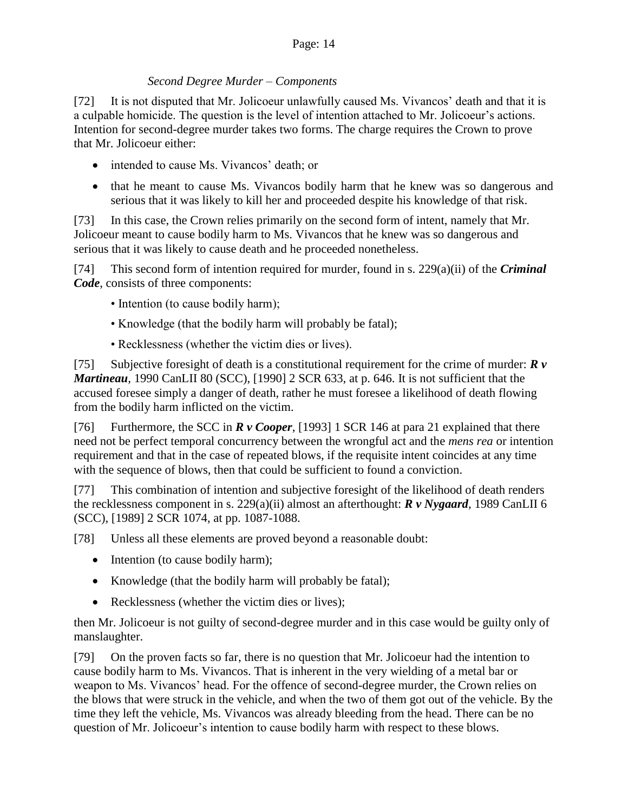# *Second Degree Murder – Components*

<span id="page-13-0"></span>[72] It is not disputed that Mr. Jolicoeur unlawfully caused Ms. Vivancos' death and that it is a culpable homicide. The question is the level of intention attached to Mr. Jolicoeur's actions. Intention for second-degree murder takes two forms. The charge requires the Crown to prove that Mr. Jolicoeur either:

- intended to cause Ms. Vivancos' death; or
- that he meant to cause Ms. Vivancos bodily harm that he knew was so dangerous and serious that it was likely to kill her and proceeded despite his knowledge of that risk.

[73] In this case, the Crown relies primarily on the second form of intent, namely that Mr. Jolicoeur meant to cause bodily harm to Ms. Vivancos that he knew was so dangerous and serious that it was likely to cause death and he proceeded nonetheless.

[74] This second form of intention required for murder, found in s. 229(a)(ii) of the *Criminal Code*, consists of three components:

- Intention (to cause bodily harm);
- Knowledge (that the bodily harm will probably be fatal);
- Recklessness (whether the victim dies or lives).

[75] Subjective foresight of death is a constitutional requirement for the crime of murder: *R v Martineau*, 1990 CanLII 80 (SCC), [1990] 2 SCR 633, at p. 646. It is not sufficient that the accused foresee simply a danger of death, rather he must foresee a likelihood of death flowing from the bodily harm inflicted on the victim.

[76] Furthermore, the SCC in *R v Cooper*, [1993] 1 SCR 146 at para 21 explained that there need not be perfect temporal concurrency between the wrongful act and the *mens rea* or intention requirement and that in the case of repeated blows, if the requisite intent coincides at any time with the sequence of blows, then that could be sufficient to found a conviction.

[77] This combination of intention and subjective foresight of the likelihood of death renders the recklessness component in s. 229(a)(ii) almost an afterthought: *R v Nygaard*, 1989 CanLII 6 (SCC), [1989] 2 SCR 1074, at pp. 1087-1088.

[78] Unless all these elements are proved beyond a reasonable doubt:

- Intention (to cause bodily harm);
- Knowledge (that the bodily harm will probably be fatal);
- Recklessness (whether the victim dies or lives);

then Mr. Jolicoeur is not guilty of second-degree murder and in this case would be guilty only of manslaughter.

[79] On the proven facts so far, there is no question that Mr. Jolicoeur had the intention to cause bodily harm to Ms. Vivancos. That is inherent in the very wielding of a metal bar or weapon to Ms. Vivancos' head. For the offence of second-degree murder, the Crown relies on the blows that were struck in the vehicle, and when the two of them got out of the vehicle. By the time they left the vehicle, Ms. Vivancos was already bleeding from the head. There can be no question of Mr. Jolicoeur's intention to cause bodily harm with respect to these blows.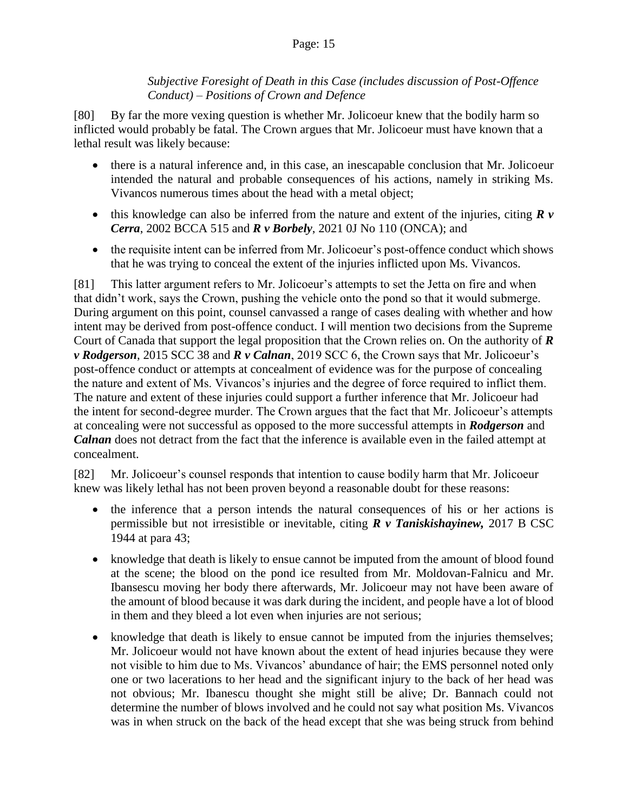#### *Subjective Foresight of Death in this Case (includes discussion of Post-Offence Conduct) – Positions of Crown and Defence*

<span id="page-14-0"></span>[80] By far the more vexing question is whether Mr. Jolicoeur knew that the bodily harm so inflicted would probably be fatal. The Crown argues that Mr. Jolicoeur must have known that a lethal result was likely because:

- there is a natural inference and, in this case, an inescapable conclusion that Mr. Jolicoeur intended the natural and probable consequences of his actions, namely in striking Ms. Vivancos numerous times about the head with a metal object;
- this knowledge can also be inferred from the nature and extent of the injuries, citing *R v Cerra*, 2002 BCCA 515 and *R v Borbely*, 2021 0J No 110 (ONCA); and
- the requisite intent can be inferred from Mr. Jolicoeur's post-offence conduct which shows that he was trying to conceal the extent of the injuries inflicted upon Ms. Vivancos.

[81] This latter argument refers to Mr. Jolicoeur's attempts to set the Jetta on fire and when that didn't work, says the Crown, pushing the vehicle onto the pond so that it would submerge. During argument on this point, counsel canvassed a range of cases dealing with whether and how intent may be derived from post-offence conduct. I will mention two decisions from the Supreme Court of Canada that support the legal proposition that the Crown relies on. On the authority of *R v Rodgerson*, 2015 SCC 38 and *R v Calnan*, 2019 SCC 6, the Crown says that Mr. Jolicoeur's post-offence conduct or attempts at concealment of evidence was for the purpose of concealing the nature and extent of Ms. Vivancos's injuries and the degree of force required to inflict them. The nature and extent of these injuries could support a further inference that Mr. Jolicoeur had the intent for second-degree murder. The Crown argues that the fact that Mr. Jolicoeur's attempts at concealing were not successful as opposed to the more successful attempts in *Rodgerson* and *Calnan* does not detract from the fact that the inference is available even in the failed attempt at concealment.

[82] Mr. Jolicoeur's counsel responds that intention to cause bodily harm that Mr. Jolicoeur knew was likely lethal has not been proven beyond a reasonable doubt for these reasons:

- the inference that a person intends the natural consequences of his or her actions is permissible but not irresistible or inevitable, citing *R v Taniskishayinew,* 2017 B CSC 1944 at para 43;
- knowledge that death is likely to ensue cannot be imputed from the amount of blood found at the scene; the blood on the pond ice resulted from Mr. Moldovan-Falnicu and Mr. Ibansescu moving her body there afterwards, Mr. Jolicoeur may not have been aware of the amount of blood because it was dark during the incident, and people have a lot of blood in them and they bleed a lot even when injuries are not serious;
- knowledge that death is likely to ensue cannot be imputed from the injuries themselves; Mr. Jolicoeur would not have known about the extent of head injuries because they were not visible to him due to Ms. Vivancos' abundance of hair; the EMS personnel noted only one or two lacerations to her head and the significant injury to the back of her head was not obvious; Mr. Ibanescu thought she might still be alive; Dr. Bannach could not determine the number of blows involved and he could not say what position Ms. Vivancos was in when struck on the back of the head except that she was being struck from behind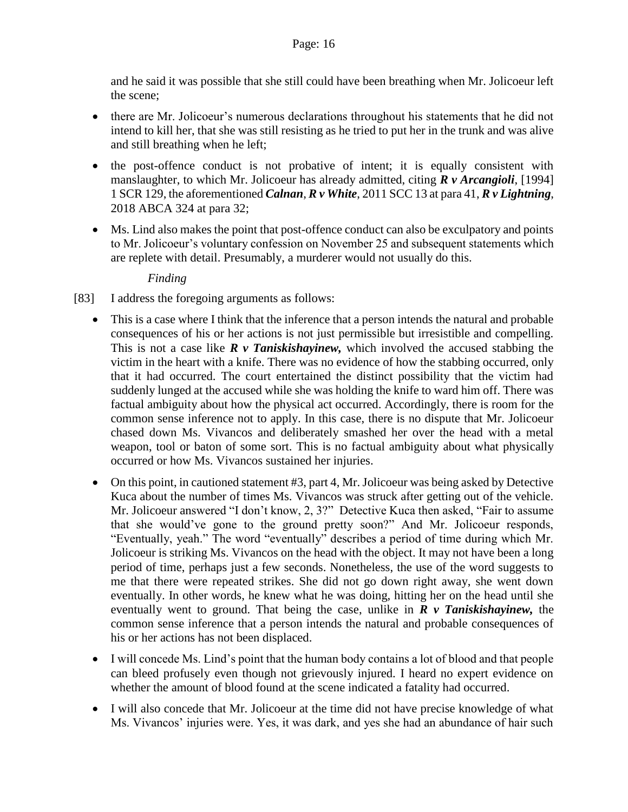and he said it was possible that she still could have been breathing when Mr. Jolicoeur left the scene;

- there are Mr. Jolicoeur's numerous declarations throughout his statements that he did not intend to kill her, that she was still resisting as he tried to put her in the trunk and was alive and still breathing when he left;
- the post-offence conduct is not probative of intent; it is equally consistent with manslaughter, to which Mr. Jolicoeur has already admitted, citing *R v Arcangioli*, [1994] 1 SCR 129, the aforementioned *Calnan*, *R v White*, 2011 SCC 13 at para 41, *R v Lightning*, 2018 ABCA 324 at para 32;
- Ms. Lind also makes the point that post-offence conduct can also be exculpatory and points to Mr. Jolicoeur's voluntary confession on November 25 and subsequent statements which are replete with detail. Presumably, a murderer would not usually do this.

#### *Finding*

- <span id="page-15-0"></span>[83] I address the foregoing arguments as follows:
	- This is a case where I think that the inference that a person intends the natural and probable consequences of his or her actions is not just permissible but irresistible and compelling. This is not a case like *R v Taniskishayinew,* which involved the accused stabbing the victim in the heart with a knife. There was no evidence of how the stabbing occurred, only that it had occurred. The court entertained the distinct possibility that the victim had suddenly lunged at the accused while she was holding the knife to ward him off. There was factual ambiguity about how the physical act occurred. Accordingly, there is room for the common sense inference not to apply. In this case, there is no dispute that Mr. Jolicoeur chased down Ms. Vivancos and deliberately smashed her over the head with a metal weapon, tool or baton of some sort. This is no factual ambiguity about what physically occurred or how Ms. Vivancos sustained her injuries.
	- On this point, in cautioned statement #3, part 4, Mr. Jolicoeur was being asked by Detective Kuca about the number of times Ms. Vivancos was struck after getting out of the vehicle. Mr. Jolicoeur answered "I don't know, 2, 3?" Detective Kuca then asked, "Fair to assume that she would've gone to the ground pretty soon?" And Mr. Jolicoeur responds, "Eventually, yeah." The word "eventually" describes a period of time during which Mr. Jolicoeur is striking Ms. Vivancos on the head with the object. It may not have been a long period of time, perhaps just a few seconds. Nonetheless, the use of the word suggests to me that there were repeated strikes. She did not go down right away, she went down eventually. In other words, he knew what he was doing, hitting her on the head until she eventually went to ground. That being the case, unlike in *R v Taniskishayinew,* the common sense inference that a person intends the natural and probable consequences of his or her actions has not been displaced.
	- I will concede Ms. Lind's point that the human body contains a lot of blood and that people can bleed profusely even though not grievously injured. I heard no expert evidence on whether the amount of blood found at the scene indicated a fatality had occurred.
	- I will also concede that Mr. Jolicoeur at the time did not have precise knowledge of what Ms. Vivancos' injuries were. Yes, it was dark, and yes she had an abundance of hair such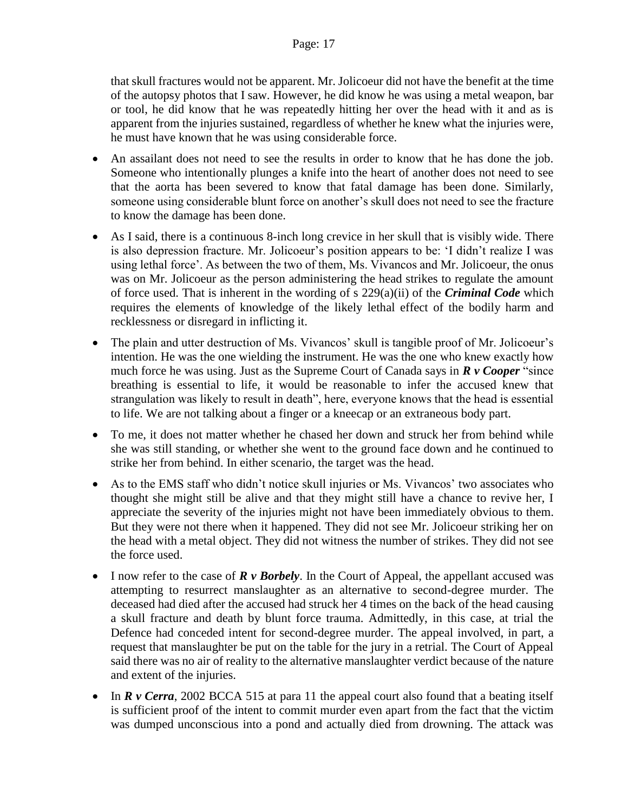that skull fractures would not be apparent. Mr. Jolicoeur did not have the benefit at the time of the autopsy photos that I saw. However, he did know he was using a metal weapon, bar or tool, he did know that he was repeatedly hitting her over the head with it and as is apparent from the injuries sustained, regardless of whether he knew what the injuries were, he must have known that he was using considerable force.

- An assailant does not need to see the results in order to know that he has done the job. Someone who intentionally plunges a knife into the heart of another does not need to see that the aorta has been severed to know that fatal damage has been done. Similarly, someone using considerable blunt force on another's skull does not need to see the fracture to know the damage has been done.
- As I said, there is a continuous 8-inch long crevice in her skull that is visibly wide. There is also depression fracture. Mr. Jolicoeur's position appears to be: 'I didn't realize I was using lethal force'. As between the two of them, Ms. Vivancos and Mr. Jolicoeur, the onus was on Mr. Jolicoeur as the person administering the head strikes to regulate the amount of force used. That is inherent in the wording of s 229(a)(ii) of the *Criminal Code* which requires the elements of knowledge of the likely lethal effect of the bodily harm and recklessness or disregard in inflicting it.
- The plain and utter destruction of Ms. Vivancos' skull is tangible proof of Mr. Jolicoeur's intention. He was the one wielding the instrument. He was the one who knew exactly how much force he was using. Just as the Supreme Court of Canada says in *R v Cooper* "since breathing is essential to life, it would be reasonable to infer the accused knew that strangulation was likely to result in death", here, everyone knows that the head is essential to life. We are not talking about a finger or a kneecap or an extraneous body part.
- To me, it does not matter whether he chased her down and struck her from behind while she was still standing, or whether she went to the ground face down and he continued to strike her from behind. In either scenario, the target was the head.
- As to the EMS staff who didn't notice skull injuries or Ms. Vivancos' two associates who thought she might still be alive and that they might still have a chance to revive her, I appreciate the severity of the injuries might not have been immediately obvious to them. But they were not there when it happened. They did not see Mr. Jolicoeur striking her on the head with a metal object. They did not witness the number of strikes. They did not see the force used.
- I now refer to the case of *R v Borbely*. In the Court of Appeal, the appellant accused was attempting to resurrect manslaughter as an alternative to second-degree murder. The deceased had died after the accused had struck her 4 times on the back of the head causing a skull fracture and death by blunt force trauma. Admittedly, in this case, at trial the Defence had conceded intent for second-degree murder. The appeal involved, in part, a request that manslaughter be put on the table for the jury in a retrial. The Court of Appeal said there was no air of reality to the alternative manslaughter verdict because of the nature and extent of the injuries.
- In *R v Cerra*, 2002 BCCA 515 at para 11 the appeal court also found that a beating itself is sufficient proof of the intent to commit murder even apart from the fact that the victim was dumped unconscious into a pond and actually died from drowning. The attack was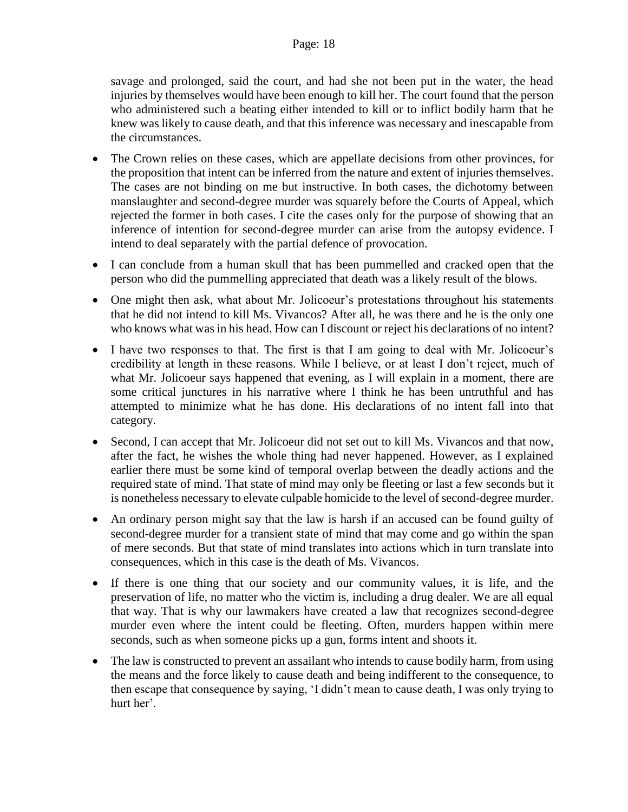savage and prolonged, said the court, and had she not been put in the water, the head injuries by themselves would have been enough to kill her. The court found that the person who administered such a beating either intended to kill or to inflict bodily harm that he knew was likely to cause death, and that this inference was necessary and inescapable from the circumstances.

- The Crown relies on these cases, which are appellate decisions from other provinces, for the proposition that intent can be inferred from the nature and extent of injuries themselves. The cases are not binding on me but instructive. In both cases, the dichotomy between manslaughter and second-degree murder was squarely before the Courts of Appeal, which rejected the former in both cases. I cite the cases only for the purpose of showing that an inference of intention for second-degree murder can arise from the autopsy evidence. I intend to deal separately with the partial defence of provocation.
- I can conclude from a human skull that has been pummelled and cracked open that the person who did the pummelling appreciated that death was a likely result of the blows.
- One might then ask, what about Mr. Jolicoeur's protestations throughout his statements that he did not intend to kill Ms. Vivancos? After all, he was there and he is the only one who knows what was in his head. How can I discount or reject his declarations of no intent?
- I have two responses to that. The first is that I am going to deal with Mr. Jolicoeur's credibility at length in these reasons. While I believe, or at least I don't reject, much of what Mr. Jolicoeur says happened that evening, as I will explain in a moment, there are some critical junctures in his narrative where I think he has been untruthful and has attempted to minimize what he has done. His declarations of no intent fall into that category.
- Second, I can accept that Mr. Jolicoeur did not set out to kill Ms. Vivancos and that now, after the fact, he wishes the whole thing had never happened. However, as I explained earlier there must be some kind of temporal overlap between the deadly actions and the required state of mind. That state of mind may only be fleeting or last a few seconds but it is nonetheless necessary to elevate culpable homicide to the level of second-degree murder.
- An ordinary person might say that the law is harsh if an accused can be found guilty of second-degree murder for a transient state of mind that may come and go within the span of mere seconds. But that state of mind translates into actions which in turn translate into consequences, which in this case is the death of Ms. Vivancos.
- If there is one thing that our society and our community values, it is life, and the preservation of life, no matter who the victim is, including a drug dealer. We are all equal that way. That is why our lawmakers have created a law that recognizes second-degree murder even where the intent could be fleeting. Often, murders happen within mere seconds, such as when someone picks up a gun, forms intent and shoots it.
- The law is constructed to prevent an assailant who intends to cause bodily harm, from using the means and the force likely to cause death and being indifferent to the consequence, to then escape that consequence by saying, 'I didn't mean to cause death, I was only trying to hurt her'.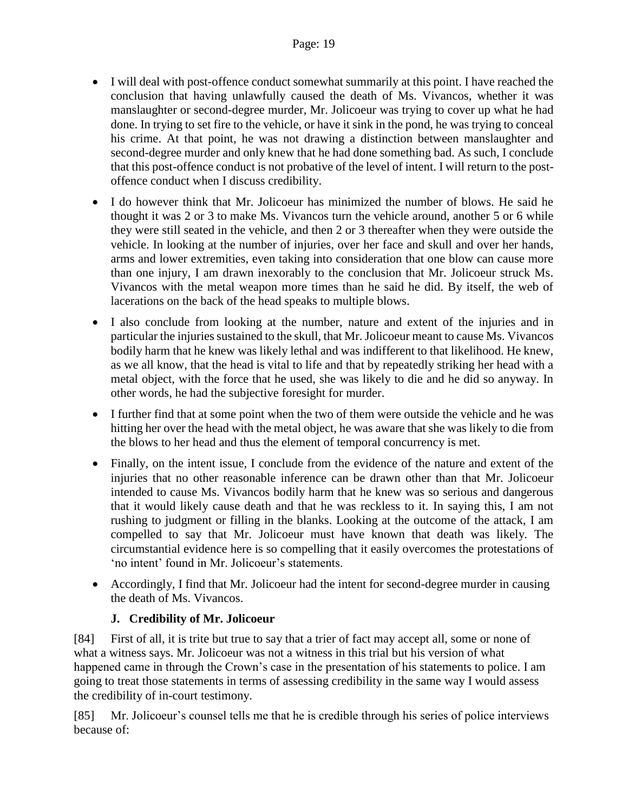- I will deal with post-offence conduct somewhat summarily at this point. I have reached the conclusion that having unlawfully caused the death of Ms. Vivancos, whether it was manslaughter or second-degree murder, Mr. Jolicoeur was trying to cover up what he had done. In trying to set fire to the vehicle, or have it sink in the pond, he was trying to conceal his crime. At that point, he was not drawing a distinction between manslaughter and second-degree murder and only knew that he had done something bad. As such, I conclude that this post-offence conduct is not probative of the level of intent. I will return to the postoffence conduct when I discuss credibility.
- I do however think that Mr. Jolicoeur has minimized the number of blows. He said he thought it was 2 or 3 to make Ms. Vivancos turn the vehicle around, another 5 or 6 while they were still seated in the vehicle, and then 2 or 3 thereafter when they were outside the vehicle. In looking at the number of injuries, over her face and skull and over her hands, arms and lower extremities, even taking into consideration that one blow can cause more than one injury, I am drawn inexorably to the conclusion that Mr. Jolicoeur struck Ms. Vivancos with the metal weapon more times than he said he did. By itself, the web of lacerations on the back of the head speaks to multiple blows.
- I also conclude from looking at the number, nature and extent of the injuries and in particular the injuries sustained to the skull, that Mr. Jolicoeur meant to cause Ms. Vivancos bodily harm that he knew was likely lethal and was indifferent to that likelihood. He knew, as we all know, that the head is vital to life and that by repeatedly striking her head with a metal object, with the force that he used, she was likely to die and he did so anyway. In other words, he had the subjective foresight for murder.
- I further find that at some point when the two of them were outside the vehicle and he was hitting her over the head with the metal object, he was aware that she was likely to die from the blows to her head and thus the element of temporal concurrency is met.
- Finally, on the intent issue, I conclude from the evidence of the nature and extent of the injuries that no other reasonable inference can be drawn other than that Mr. Jolicoeur intended to cause Ms. Vivancos bodily harm that he knew was so serious and dangerous that it would likely cause death and that he was reckless to it. In saying this, I am not rushing to judgment or filling in the blanks. Looking at the outcome of the attack, I am compelled to say that Mr. Jolicoeur must have known that death was likely. The circumstantial evidence here is so compelling that it easily overcomes the protestations of 'no intent' found in Mr. Jolicoeur's statements.
- Accordingly, I find that Mr. Jolicoeur had the intent for second-degree murder in causing the death of Ms. Vivancos.

# **J. Credibility of Mr. Jolicoeur**

<span id="page-18-0"></span>[84] First of all, it is trite but true to say that a trier of fact may accept all, some or none of what a witness says. Mr. Jolicoeur was not a witness in this trial but his version of what happened came in through the Crown's case in the presentation of his statements to police. I am going to treat those statements in terms of assessing credibility in the same way I would assess the credibility of in-court testimony.

[85] Mr. Jolicoeur's counsel tells me that he is credible through his series of police interviews because of: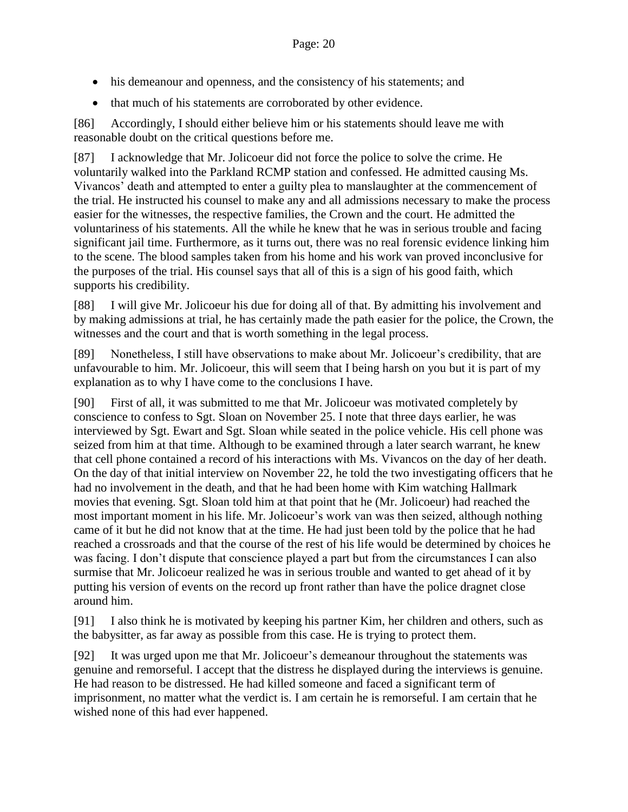- his demeanour and openness, and the consistency of his statements; and
- that much of his statements are corroborated by other evidence.

[86] Accordingly, I should either believe him or his statements should leave me with reasonable doubt on the critical questions before me.

[87] I acknowledge that Mr. Jolicoeur did not force the police to solve the crime. He voluntarily walked into the Parkland RCMP station and confessed. He admitted causing Ms. Vivancos' death and attempted to enter a guilty plea to manslaughter at the commencement of the trial. He instructed his counsel to make any and all admissions necessary to make the process easier for the witnesses, the respective families, the Crown and the court. He admitted the voluntariness of his statements. All the while he knew that he was in serious trouble and facing significant jail time. Furthermore, as it turns out, there was no real forensic evidence linking him to the scene. The blood samples taken from his home and his work van proved inconclusive for the purposes of the trial. His counsel says that all of this is a sign of his good faith, which supports his credibility.

[88] I will give Mr. Jolicoeur his due for doing all of that. By admitting his involvement and by making admissions at trial, he has certainly made the path easier for the police, the Crown, the witnesses and the court and that is worth something in the legal process.

[89] Nonetheless, I still have observations to make about Mr. Jolicoeur's credibility, that are unfavourable to him. Mr. Jolicoeur, this will seem that I being harsh on you but it is part of my explanation as to why I have come to the conclusions I have.

[90] First of all, it was submitted to me that Mr. Jolicoeur was motivated completely by conscience to confess to Sgt. Sloan on November 25. I note that three days earlier, he was interviewed by Sgt. Ewart and Sgt. Sloan while seated in the police vehicle. His cell phone was seized from him at that time. Although to be examined through a later search warrant, he knew that cell phone contained a record of his interactions with Ms. Vivancos on the day of her death. On the day of that initial interview on November 22, he told the two investigating officers that he had no involvement in the death, and that he had been home with Kim watching Hallmark movies that evening. Sgt. Sloan told him at that point that he (Mr. Jolicoeur) had reached the most important moment in his life. Mr. Jolicoeur's work van was then seized, although nothing came of it but he did not know that at the time. He had just been told by the police that he had reached a crossroads and that the course of the rest of his life would be determined by choices he was facing. I don't dispute that conscience played a part but from the circumstances I can also surmise that Mr. Jolicoeur realized he was in serious trouble and wanted to get ahead of it by putting his version of events on the record up front rather than have the police dragnet close around him.

[91] I also think he is motivated by keeping his partner Kim, her children and others, such as the babysitter, as far away as possible from this case. He is trying to protect them.

[92] It was urged upon me that Mr. Jolicoeur's demeanour throughout the statements was genuine and remorseful. I accept that the distress he displayed during the interviews is genuine. He had reason to be distressed. He had killed someone and faced a significant term of imprisonment, no matter what the verdict is. I am certain he is remorseful. I am certain that he wished none of this had ever happened.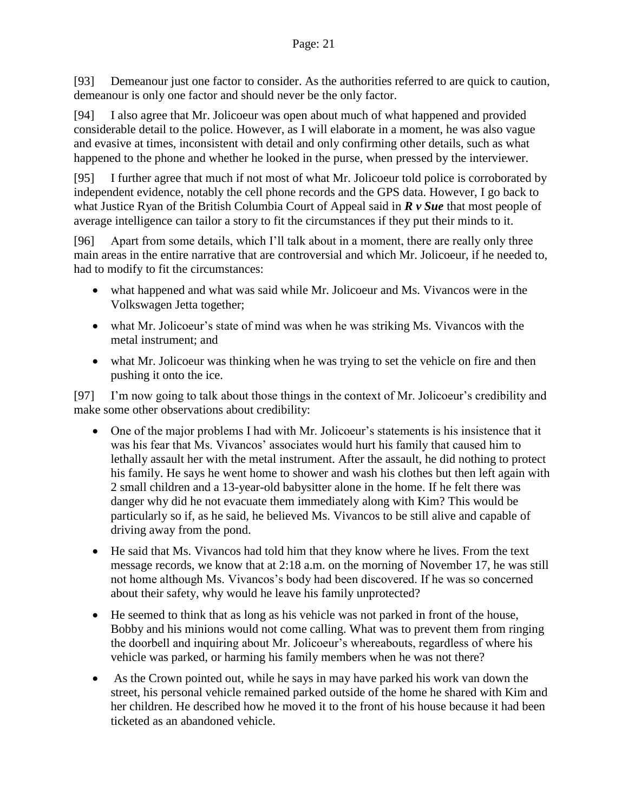[93] Demeanour just one factor to consider. As the authorities referred to are quick to caution, demeanour is only one factor and should never be the only factor.

[94] I also agree that Mr. Jolicoeur was open about much of what happened and provided considerable detail to the police. However, as I will elaborate in a moment, he was also vague and evasive at times, inconsistent with detail and only confirming other details, such as what happened to the phone and whether he looked in the purse, when pressed by the interviewer.

[95] I further agree that much if not most of what Mr. Jolicoeur told police is corroborated by independent evidence, notably the cell phone records and the GPS data. However, I go back to what Justice Ryan of the British Columbia Court of Appeal said in *R v Sue* that most people of average intelligence can tailor a story to fit the circumstances if they put their minds to it.

[96] Apart from some details, which I'll talk about in a moment, there are really only three main areas in the entire narrative that are controversial and which Mr. Jolicoeur, if he needed to, had to modify to fit the circumstances:

- what happened and what was said while Mr. Jolicoeur and Ms. Vivancos were in the Volkswagen Jetta together;
- what Mr. Jolicoeur's state of mind was when he was striking Ms. Vivancos with the metal instrument; and
- what Mr. Jolicoeur was thinking when he was trying to set the vehicle on fire and then pushing it onto the ice.

[97] I'm now going to talk about those things in the context of Mr. Jolicoeur's credibility and make some other observations about credibility:

- One of the major problems I had with Mr. Jolicoeur's statements is his insistence that it was his fear that Ms. Vivancos' associates would hurt his family that caused him to lethally assault her with the metal instrument. After the assault, he did nothing to protect his family. He says he went home to shower and wash his clothes but then left again with 2 small children and a 13-year-old babysitter alone in the home. If he felt there was danger why did he not evacuate them immediately along with Kim? This would be particularly so if, as he said, he believed Ms. Vivancos to be still alive and capable of driving away from the pond.
- He said that Ms. Vivancos had told him that they know where he lives. From the text message records, we know that at 2:18 a.m. on the morning of November 17, he was still not home although Ms. Vivancos's body had been discovered. If he was so concerned about their safety, why would he leave his family unprotected?
- He seemed to think that as long as his vehicle was not parked in front of the house, Bobby and his minions would not come calling. What was to prevent them from ringing the doorbell and inquiring about Mr. Jolicoeur's whereabouts, regardless of where his vehicle was parked, or harming his family members when he was not there?
- As the Crown pointed out, while he says in may have parked his work van down the street, his personal vehicle remained parked outside of the home he shared with Kim and her children. He described how he moved it to the front of his house because it had been ticketed as an abandoned vehicle.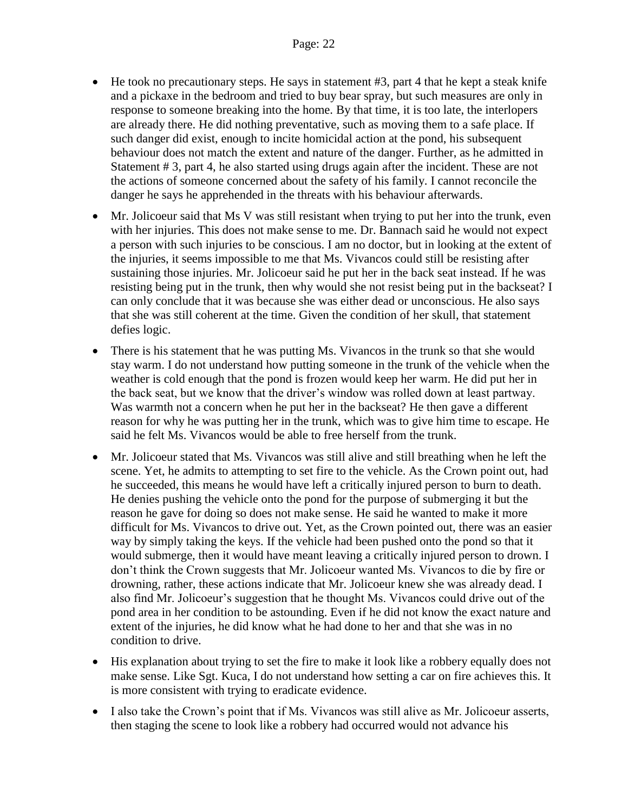- He took no precautionary steps. He says in statement #3, part 4 that he kept a steak knife and a pickaxe in the bedroom and tried to buy bear spray, but such measures are only in response to someone breaking into the home. By that time, it is too late, the interlopers are already there. He did nothing preventative, such as moving them to a safe place. If such danger did exist, enough to incite homicidal action at the pond, his subsequent behaviour does not match the extent and nature of the danger. Further, as he admitted in Statement # 3, part 4, he also started using drugs again after the incident. These are not the actions of someone concerned about the safety of his family. I cannot reconcile the danger he says he apprehended in the threats with his behaviour afterwards.
- Mr. Jolicoeur said that Ms V was still resistant when trying to put her into the trunk, even with her injuries. This does not make sense to me. Dr. Bannach said he would not expect a person with such injuries to be conscious. I am no doctor, but in looking at the extent of the injuries, it seems impossible to me that Ms. Vivancos could still be resisting after sustaining those injuries. Mr. Jolicoeur said he put her in the back seat instead. If he was resisting being put in the trunk, then why would she not resist being put in the backseat? I can only conclude that it was because she was either dead or unconscious. He also says that she was still coherent at the time. Given the condition of her skull, that statement defies logic.
- There is his statement that he was putting Ms. Vivancos in the trunk so that she would stay warm. I do not understand how putting someone in the trunk of the vehicle when the weather is cold enough that the pond is frozen would keep her warm. He did put her in the back seat, but we know that the driver's window was rolled down at least partway. Was warmth not a concern when he put her in the backseat? He then gave a different reason for why he was putting her in the trunk, which was to give him time to escape. He said he felt Ms. Vivancos would be able to free herself from the trunk.
- Mr. Jolicoeur stated that Ms. Vivancos was still alive and still breathing when he left the scene. Yet, he admits to attempting to set fire to the vehicle. As the Crown point out, had he succeeded, this means he would have left a critically injured person to burn to death. He denies pushing the vehicle onto the pond for the purpose of submerging it but the reason he gave for doing so does not make sense. He said he wanted to make it more difficult for Ms. Vivancos to drive out. Yet, as the Crown pointed out, there was an easier way by simply taking the keys. If the vehicle had been pushed onto the pond so that it would submerge, then it would have meant leaving a critically injured person to drown. I don't think the Crown suggests that Mr. Jolicoeur wanted Ms. Vivancos to die by fire or drowning, rather, these actions indicate that Mr. Jolicoeur knew she was already dead. I also find Mr. Jolicoeur's suggestion that he thought Ms. Vivancos could drive out of the pond area in her condition to be astounding. Even if he did not know the exact nature and extent of the injuries, he did know what he had done to her and that she was in no condition to drive.
- His explanation about trying to set the fire to make it look like a robbery equally does not make sense. Like Sgt. Kuca, I do not understand how setting a car on fire achieves this. It is more consistent with trying to eradicate evidence.
- I also take the Crown's point that if Ms. Vivancos was still alive as Mr. Jolicoeur asserts, then staging the scene to look like a robbery had occurred would not advance his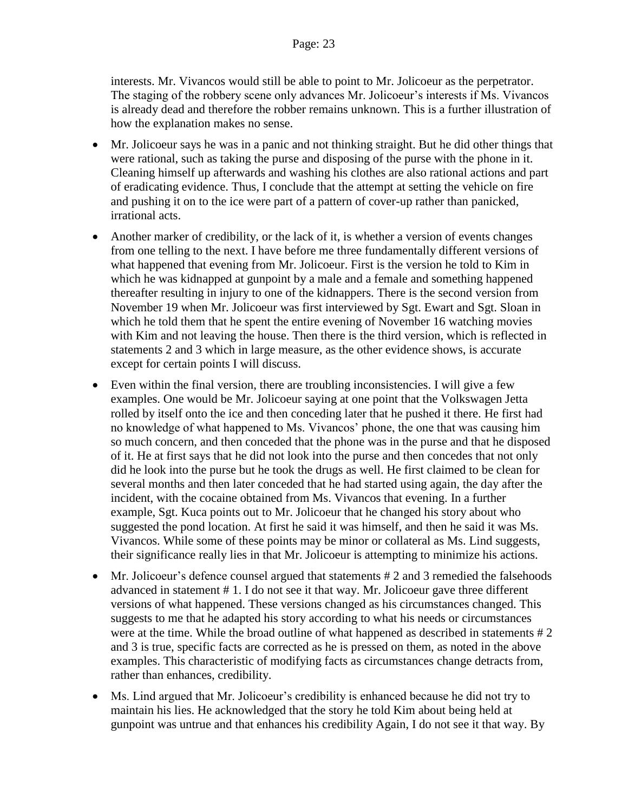interests. Mr. Vivancos would still be able to point to Mr. Jolicoeur as the perpetrator. The staging of the robbery scene only advances Mr. Jolicoeur's interests if Ms. Vivancos is already dead and therefore the robber remains unknown. This is a further illustration of how the explanation makes no sense.

- Mr. Jolicoeur says he was in a panic and not thinking straight. But he did other things that were rational, such as taking the purse and disposing of the purse with the phone in it. Cleaning himself up afterwards and washing his clothes are also rational actions and part of eradicating evidence. Thus, I conclude that the attempt at setting the vehicle on fire and pushing it on to the ice were part of a pattern of cover-up rather than panicked, irrational acts.
- Another marker of credibility, or the lack of it, is whether a version of events changes from one telling to the next. I have before me three fundamentally different versions of what happened that evening from Mr. Jolicoeur. First is the version he told to Kim in which he was kidnapped at gunpoint by a male and a female and something happened thereafter resulting in injury to one of the kidnappers. There is the second version from November 19 when Mr. Jolicoeur was first interviewed by Sgt. Ewart and Sgt. Sloan in which he told them that he spent the entire evening of November 16 watching movies with Kim and not leaving the house. Then there is the third version, which is reflected in statements 2 and 3 which in large measure, as the other evidence shows, is accurate except for certain points I will discuss.
- Even within the final version, there are troubling inconsistencies. I will give a few examples. One would be Mr. Jolicoeur saying at one point that the Volkswagen Jetta rolled by itself onto the ice and then conceding later that he pushed it there. He first had no knowledge of what happened to Ms. Vivancos' phone, the one that was causing him so much concern, and then conceded that the phone was in the purse and that he disposed of it. He at first says that he did not look into the purse and then concedes that not only did he look into the purse but he took the drugs as well. He first claimed to be clean for several months and then later conceded that he had started using again, the day after the incident, with the cocaine obtained from Ms. Vivancos that evening. In a further example, Sgt. Kuca points out to Mr. Jolicoeur that he changed his story about who suggested the pond location. At first he said it was himself, and then he said it was Ms. Vivancos. While some of these points may be minor or collateral as Ms. Lind suggests, their significance really lies in that Mr. Jolicoeur is attempting to minimize his actions.
- Mr. Jolicoeur's defence counsel argued that statements # 2 and 3 remedied the falsehoods advanced in statement # 1. I do not see it that way. Mr. Jolicoeur gave three different versions of what happened. These versions changed as his circumstances changed. This suggests to me that he adapted his story according to what his needs or circumstances were at the time. While the broad outline of what happened as described in statements # 2 and 3 is true, specific facts are corrected as he is pressed on them, as noted in the above examples. This characteristic of modifying facts as circumstances change detracts from, rather than enhances, credibility.
- Ms. Lind argued that Mr. Jolicoeur's credibility is enhanced because he did not try to maintain his lies. He acknowledged that the story he told Kim about being held at gunpoint was untrue and that enhances his credibility Again, I do not see it that way. By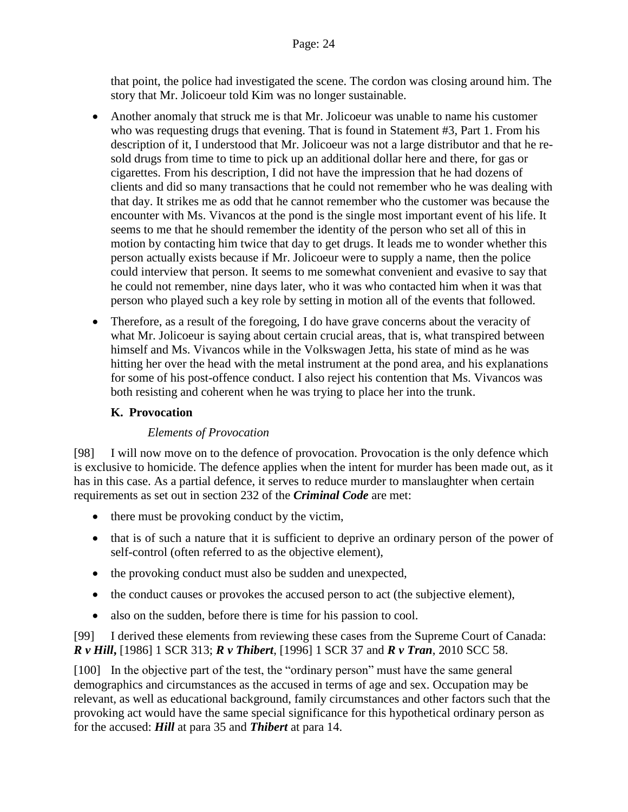that point, the police had investigated the scene. The cordon was closing around him. The story that Mr. Jolicoeur told Kim was no longer sustainable.

- Another anomaly that struck me is that Mr. Jolicoeur was unable to name his customer who was requesting drugs that evening. That is found in Statement #3, Part 1. From his description of it, I understood that Mr. Jolicoeur was not a large distributor and that he resold drugs from time to time to pick up an additional dollar here and there, for gas or cigarettes. From his description, I did not have the impression that he had dozens of clients and did so many transactions that he could not remember who he was dealing with that day. It strikes me as odd that he cannot remember who the customer was because the encounter with Ms. Vivancos at the pond is the single most important event of his life. It seems to me that he should remember the identity of the person who set all of this in motion by contacting him twice that day to get drugs. It leads me to wonder whether this person actually exists because if Mr. Jolicoeur were to supply a name, then the police could interview that person. It seems to me somewhat convenient and evasive to say that he could not remember, nine days later, who it was who contacted him when it was that person who played such a key role by setting in motion all of the events that followed.
- Therefore, as a result of the foregoing, I do have grave concerns about the veracity of what Mr. Jolicoeur is saying about certain crucial areas, that is, what transpired between himself and Ms. Vivancos while in the Volkswagen Jetta, his state of mind as he was hitting her over the head with the metal instrument at the pond area, and his explanations for some of his post-offence conduct. I also reject his contention that Ms. Vivancos was both resisting and coherent when he was trying to place her into the trunk.

#### <span id="page-23-0"></span>**K. Provocation**

#### *Elements of Provocation*

<span id="page-23-1"></span>[98] I will now move on to the defence of provocation. Provocation is the only defence which is exclusive to homicide. The defence applies when the intent for murder has been made out, as it has in this case. As a partial defence, it serves to reduce murder to manslaughter when certain requirements as set out in section 232 of the *Criminal Code* are met:

- there must be provoking conduct by the victim,
- that is of such a nature that it is sufficient to deprive an ordinary person of the power of self-control (often referred to as the objective element),
- the provoking conduct must also be sudden and unexpected,
- the conduct causes or provokes the accused person to act (the subjective element),
- also on the sudden, before there is time for his passion to cool.

[99] I derived these elements from reviewing these cases from the Supreme Court of Canada: *R v Hill***,** [1986] 1 SCR 313; *R v Thibert*, [1996] 1 SCR 37 and *R v Tran*, 2010 SCC 58.

[100] In the objective part of the test, the "ordinary person" must have the same general demographics and circumstances as the accused in terms of age and sex. Occupation may be relevant, as well as educational background, family circumstances and other factors such that the provoking act would have the same special significance for this hypothetical ordinary person as for the accused: *Hill* at para 35 and *Thibert* at para 14.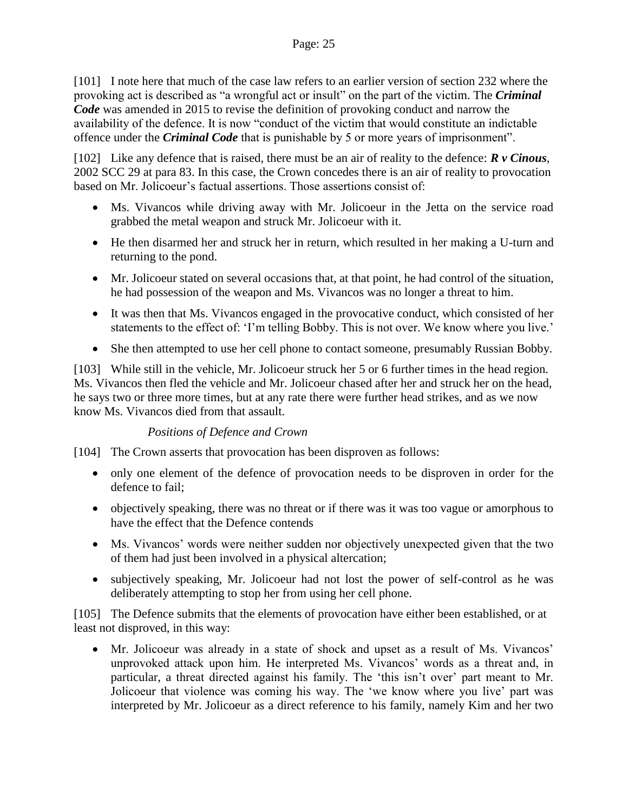[101] I note here that much of the case law refers to an earlier version of section 232 where the provoking act is described as "a wrongful act or insult" on the part of the victim. The *Criminal Code* was amended in 2015 to revise the definition of provoking conduct and narrow the availability of the defence. It is now "conduct of the victim that would constitute an indictable offence under the *Criminal Code* that is punishable by 5 or more years of imprisonment".

[102] Like any defence that is raised, there must be an air of reality to the defence: *R v Cinous*, 2002 SCC 29 at para 83. In this case, the Crown concedes there is an air of reality to provocation based on Mr. Jolicoeur's factual assertions. Those assertions consist of:

- Ms. Vivancos while driving away with Mr. Jolicoeur in the Jetta on the service road grabbed the metal weapon and struck Mr. Jolicoeur with it.
- He then disarmed her and struck her in return, which resulted in her making a U-turn and returning to the pond.
- Mr. Jolicoeur stated on several occasions that, at that point, he had control of the situation, he had possession of the weapon and Ms. Vivancos was no longer a threat to him.
- It was then that Ms. Vivancos engaged in the provocative conduct, which consisted of her statements to the effect of: 'I'm telling Bobby. This is not over. We know where you live.'
- She then attempted to use her cell phone to contact someone, presumably Russian Bobby.

[103] While still in the vehicle, Mr. Jolicoeur struck her 5 or 6 further times in the head region. Ms. Vivancos then fled the vehicle and Mr. Jolicoeur chased after her and struck her on the head, he says two or three more times, but at any rate there were further head strikes, and as we now know Ms. Vivancos died from that assault.

#### *Positions of Defence and Crown*

<span id="page-24-0"></span>[104] The Crown asserts that provocation has been disproven as follows:

- only one element of the defence of provocation needs to be disproven in order for the defence to fail;
- objectively speaking, there was no threat or if there was it was too vague or amorphous to have the effect that the Defence contends
- Ms. Vivancos' words were neither sudden nor objectively unexpected given that the two of them had just been involved in a physical altercation;
- subjectively speaking, Mr. Jolicoeur had not lost the power of self-control as he was deliberately attempting to stop her from using her cell phone.

[105] The Defence submits that the elements of provocation have either been established, or at least not disproved, in this way:

 Mr. Jolicoeur was already in a state of shock and upset as a result of Ms. Vivancos' unprovoked attack upon him. He interpreted Ms. Vivancos' words as a threat and, in particular, a threat directed against his family. The 'this isn't over' part meant to Mr. Jolicoeur that violence was coming his way. The 'we know where you live' part was interpreted by Mr. Jolicoeur as a direct reference to his family, namely Kim and her two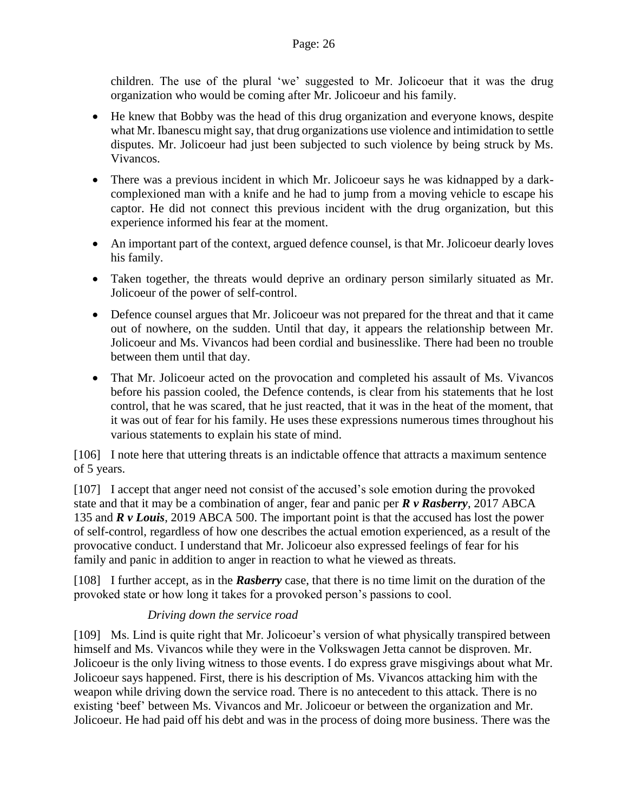children. The use of the plural 'we' suggested to Mr. Jolicoeur that it was the drug organization who would be coming after Mr. Jolicoeur and his family.

- He knew that Bobby was the head of this drug organization and everyone knows, despite what Mr. Ibanescu might say, that drug organizations use violence and intimidation to settle disputes. Mr. Jolicoeur had just been subjected to such violence by being struck by Ms. Vivancos.
- There was a previous incident in which Mr. Jolicoeur says he was kidnapped by a darkcomplexioned man with a knife and he had to jump from a moving vehicle to escape his captor. He did not connect this previous incident with the drug organization, but this experience informed his fear at the moment.
- An important part of the context, argued defence counsel, is that Mr. Jolicoeur dearly loves his family.
- Taken together, the threats would deprive an ordinary person similarly situated as Mr. Jolicoeur of the power of self-control.
- Defence counsel argues that Mr. Jolicoeur was not prepared for the threat and that it came out of nowhere, on the sudden. Until that day, it appears the relationship between Mr. Jolicoeur and Ms. Vivancos had been cordial and businesslike. There had been no trouble between them until that day.
- That Mr. Jolicoeur acted on the provocation and completed his assault of Ms. Vivancos before his passion cooled, the Defence contends, is clear from his statements that he lost control, that he was scared, that he just reacted, that it was in the heat of the moment, that it was out of fear for his family. He uses these expressions numerous times throughout his various statements to explain his state of mind.

[106] I note here that uttering threats is an indictable offence that attracts a maximum sentence of 5 years.

[107] I accept that anger need not consist of the accused's sole emotion during the provoked state and that it may be a combination of anger, fear and panic per *R v Rasberry*, 2017 ABCA 135 and *R v Louis*, 2019 ABCA 500. The important point is that the accused has lost the power of self-control, regardless of how one describes the actual emotion experienced, as a result of the provocative conduct. I understand that Mr. Jolicoeur also expressed feelings of fear for his family and panic in addition to anger in reaction to what he viewed as threats.

[108] I further accept, as in the *Rasberry* case, that there is no time limit on the duration of the provoked state or how long it takes for a provoked person's passions to cool.

# *Driving down the service road*

<span id="page-25-0"></span>[109] Ms. Lind is quite right that Mr. Jolicoeur's version of what physically transpired between himself and Ms. Vivancos while they were in the Volkswagen Jetta cannot be disproven. Mr. Jolicoeur is the only living witness to those events. I do express grave misgivings about what Mr. Jolicoeur says happened. First, there is his description of Ms. Vivancos attacking him with the weapon while driving down the service road. There is no antecedent to this attack. There is no existing 'beef' between Ms. Vivancos and Mr. Jolicoeur or between the organization and Mr. Jolicoeur. He had paid off his debt and was in the process of doing more business. There was the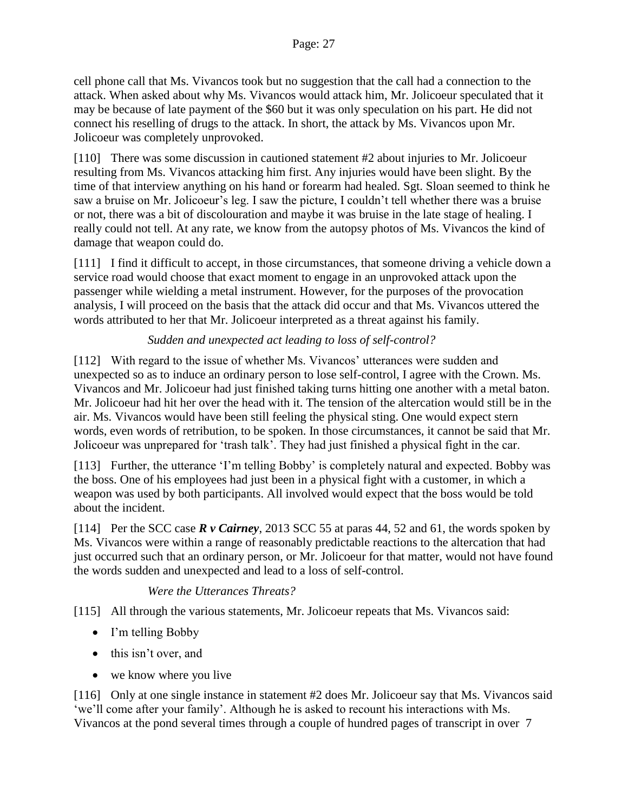cell phone call that Ms. Vivancos took but no suggestion that the call had a connection to the attack. When asked about why Ms. Vivancos would attack him, Mr. Jolicoeur speculated that it may be because of late payment of the \$60 but it was only speculation on his part. He did not connect his reselling of drugs to the attack. In short, the attack by Ms. Vivancos upon Mr. Jolicoeur was completely unprovoked.

[110] There was some discussion in cautioned statement #2 about injuries to Mr. Jolicoeur resulting from Ms. Vivancos attacking him first. Any injuries would have been slight. By the time of that interview anything on his hand or forearm had healed. Sgt. Sloan seemed to think he saw a bruise on Mr. Jolicoeur's leg. I saw the picture, I couldn't tell whether there was a bruise or not, there was a bit of discolouration and maybe it was bruise in the late stage of healing. I really could not tell. At any rate, we know from the autopsy photos of Ms. Vivancos the kind of damage that weapon could do.

[111] I find it difficult to accept, in those circumstances, that someone driving a vehicle down a service road would choose that exact moment to engage in an unprovoked attack upon the passenger while wielding a metal instrument. However, for the purposes of the provocation analysis, I will proceed on the basis that the attack did occur and that Ms. Vivancos uttered the words attributed to her that Mr. Jolicoeur interpreted as a threat against his family.

# *Sudden and unexpected act leading to loss of self-control?*

<span id="page-26-0"></span>[112] With regard to the issue of whether Ms. Vivancos' utterances were sudden and unexpected so as to induce an ordinary person to lose self-control, I agree with the Crown. Ms. Vivancos and Mr. Jolicoeur had just finished taking turns hitting one another with a metal baton. Mr. Jolicoeur had hit her over the head with it. The tension of the altercation would still be in the air. Ms. Vivancos would have been still feeling the physical sting. One would expect stern words, even words of retribution, to be spoken. In those circumstances, it cannot be said that Mr. Jolicoeur was unprepared for 'trash talk'. They had just finished a physical fight in the car.

[113] Further, the utterance 'I'm telling Bobby' is completely natural and expected. Bobby was the boss. One of his employees had just been in a physical fight with a customer, in which a weapon was used by both participants. All involved would expect that the boss would be told about the incident.

[114] Per the SCC case *R v Cairney*, 2013 SCC 55 at paras 44, 52 and 61, the words spoken by Ms. Vivancos were within a range of reasonably predictable reactions to the altercation that had just occurred such that an ordinary person, or Mr. Jolicoeur for that matter, would not have found the words sudden and unexpected and lead to a loss of self-control.

#### *Were the Utterances Threats?*

<span id="page-26-1"></span>[115] All through the various statements, Mr. Jolicoeur repeats that Ms. Vivancos said:

- I'm telling Bobby
- this isn't over, and
- we know where you live

[116] Only at one single instance in statement #2 does Mr. Jolicoeur say that Ms. Vivancos said 'we'll come after your family'. Although he is asked to recount his interactions with Ms. Vivancos at the pond several times through a couple of hundred pages of transcript in over 7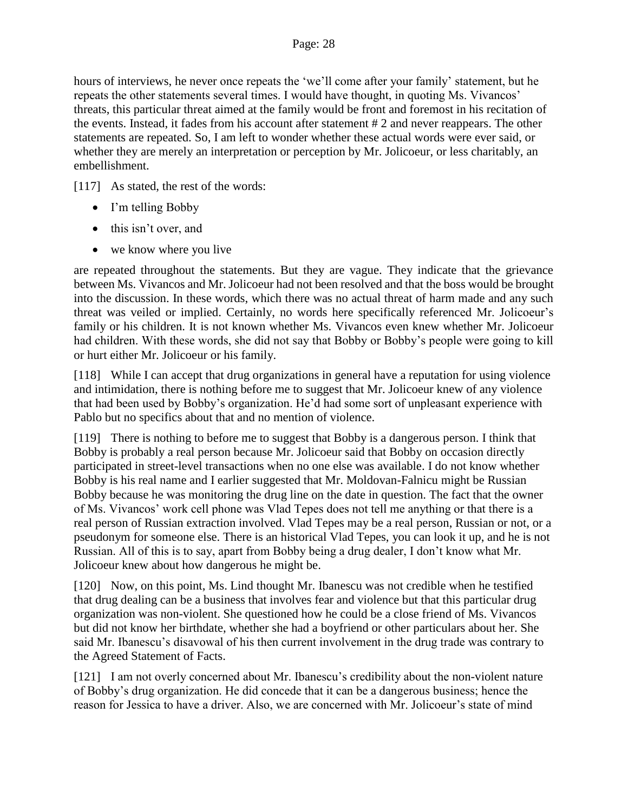hours of interviews, he never once repeats the 'we'll come after your family' statement, but he repeats the other statements several times. I would have thought, in quoting Ms. Vivancos' threats, this particular threat aimed at the family would be front and foremost in his recitation of the events. Instead, it fades from his account after statement # 2 and never reappears. The other statements are repeated. So, I am left to wonder whether these actual words were ever said, or whether they are merely an interpretation or perception by Mr. Jolicoeur, or less charitably, an embellishment.

[117] As stated, the rest of the words:

- I'm telling Bobby
- this isn't over, and
- we know where you live

are repeated throughout the statements. But they are vague. They indicate that the grievance between Ms. Vivancos and Mr. Jolicoeur had not been resolved and that the boss would be brought into the discussion. In these words, which there was no actual threat of harm made and any such threat was veiled or implied. Certainly, no words here specifically referenced Mr. Jolicoeur's family or his children. It is not known whether Ms. Vivancos even knew whether Mr. Jolicoeur had children. With these words, she did not say that Bobby or Bobby's people were going to kill or hurt either Mr. Jolicoeur or his family.

[118] While I can accept that drug organizations in general have a reputation for using violence and intimidation, there is nothing before me to suggest that Mr. Jolicoeur knew of any violence that had been used by Bobby's organization. He'd had some sort of unpleasant experience with Pablo but no specifics about that and no mention of violence.

[119] There is nothing to before me to suggest that Bobby is a dangerous person. I think that Bobby is probably a real person because Mr. Jolicoeur said that Bobby on occasion directly participated in street-level transactions when no one else was available. I do not know whether Bobby is his real name and I earlier suggested that Mr. Moldovan-Falnicu might be Russian Bobby because he was monitoring the drug line on the date in question. The fact that the owner of Ms. Vivancos' work cell phone was Vlad Tepes does not tell me anything or that there is a real person of Russian extraction involved. Vlad Tepes may be a real person, Russian or not, or a pseudonym for someone else. There is an historical Vlad Tepes, you can look it up, and he is not Russian. All of this is to say, apart from Bobby being a drug dealer, I don't know what Mr. Jolicoeur knew about how dangerous he might be.

[120] Now, on this point, Ms. Lind thought Mr. Ibanescu was not credible when he testified that drug dealing can be a business that involves fear and violence but that this particular drug organization was non-violent. She questioned how he could be a close friend of Ms. Vivancos but did not know her birthdate, whether she had a boyfriend or other particulars about her. She said Mr. Ibanescu's disavowal of his then current involvement in the drug trade was contrary to the Agreed Statement of Facts.

[121] I am not overly concerned about Mr. Ibanescu's credibility about the non-violent nature of Bobby's drug organization. He did concede that it can be a dangerous business; hence the reason for Jessica to have a driver. Also, we are concerned with Mr. Jolicoeur's state of mind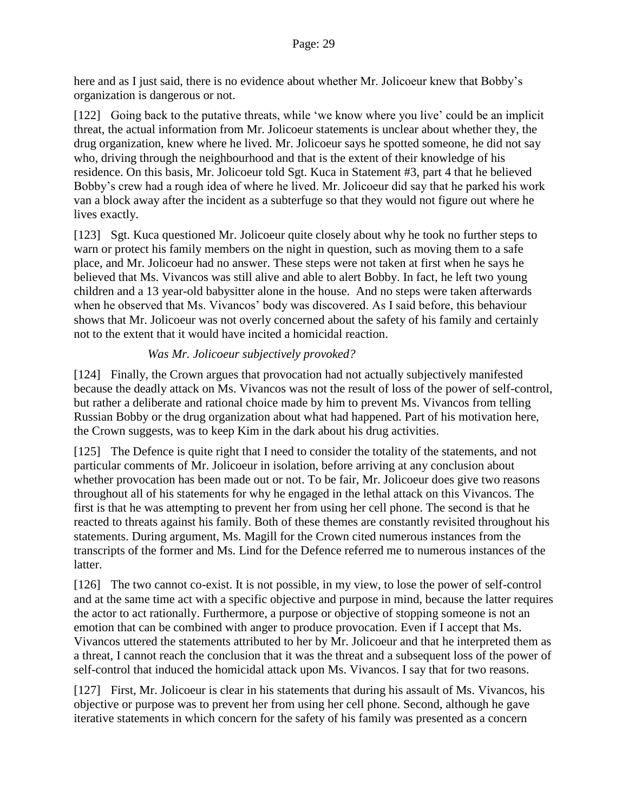here and as I just said, there is no evidence about whether Mr. Jolicoeur knew that Bobby's organization is dangerous or not.

[122] Going back to the putative threats, while 'we know where you live' could be an implicit threat, the actual information from Mr. Jolicoeur statements is unclear about whether they, the drug organization, knew where he lived. Mr. Jolicoeur says he spotted someone, he did not say who, driving through the neighbourhood and that is the extent of their knowledge of his residence. On this basis, Mr. Jolicoeur told Sgt. Kuca in Statement #3, part 4 that he believed Bobby's crew had a rough idea of where he lived. Mr. Jolicoeur did say that he parked his work van a block away after the incident as a subterfuge so that they would not figure out where he lives exactly.

[123] Sgt. Kuca questioned Mr. Jolicoeur quite closely about why he took no further steps to warn or protect his family members on the night in question, such as moving them to a safe place, and Mr. Jolicoeur had no answer. These steps were not taken at first when he says he believed that Ms. Vivancos was still alive and able to alert Bobby. In fact, he left two young children and a 13 year-old babysitter alone in the house. And no steps were taken afterwards when he observed that Ms. Vivancos' body was discovered. As I said before, this behaviour shows that Mr. Jolicoeur was not overly concerned about the safety of his family and certainly not to the extent that it would have incited a homicidal reaction.

#### *Was Mr. Jolicoeur subjectively provoked?*

<span id="page-28-0"></span>[124] Finally, the Crown argues that provocation had not actually subjectively manifested because the deadly attack on Ms. Vivancos was not the result of loss of the power of self-control, but rather a deliberate and rational choice made by him to prevent Ms. Vivancos from telling Russian Bobby or the drug organization about what had happened. Part of his motivation here, the Crown suggests, was to keep Kim in the dark about his drug activities.

[125] The Defence is quite right that I need to consider the totality of the statements, and not particular comments of Mr. Jolicoeur in isolation, before arriving at any conclusion about whether provocation has been made out or not. To be fair, Mr. Jolicoeur does give two reasons throughout all of his statements for why he engaged in the lethal attack on this Vivancos. The first is that he was attempting to prevent her from using her cell phone. The second is that he reacted to threats against his family. Both of these themes are constantly revisited throughout his statements. During argument, Ms. Magill for the Crown cited numerous instances from the transcripts of the former and Ms. Lind for the Defence referred me to numerous instances of the latter.

[126] The two cannot co-exist. It is not possible, in my view, to lose the power of self-control and at the same time act with a specific objective and purpose in mind, because the latter requires the actor to act rationally. Furthermore, a purpose or objective of stopping someone is not an emotion that can be combined with anger to produce provocation. Even if I accept that Ms. Vivancos uttered the statements attributed to her by Mr. Jolicoeur and that he interpreted them as a threat, I cannot reach the conclusion that it was the threat and a subsequent loss of the power of self-control that induced the homicidal attack upon Ms. Vivancos. I say that for two reasons.

[127] First, Mr. Jolicoeur is clear in his statements that during his assault of Ms. Vivancos, his objective or purpose was to prevent her from using her cell phone. Second, although he gave iterative statements in which concern for the safety of his family was presented as a concern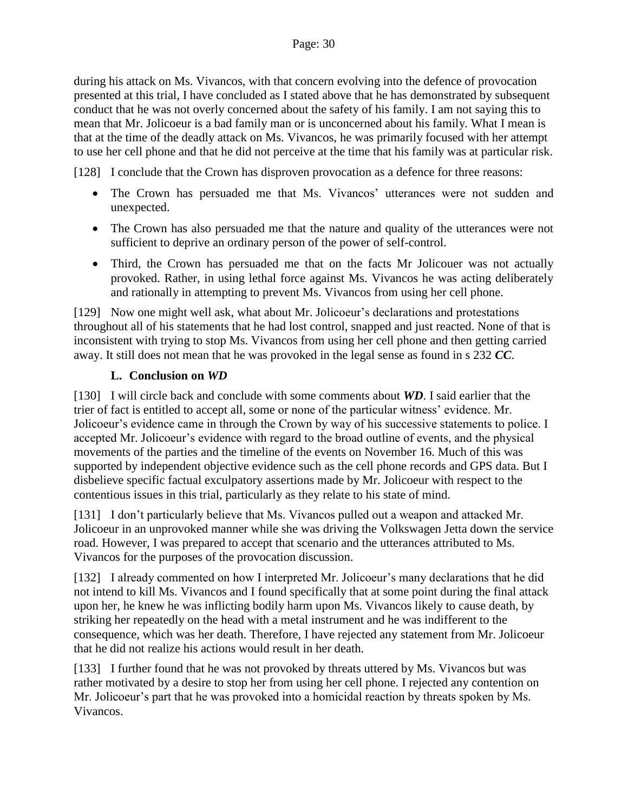during his attack on Ms. Vivancos, with that concern evolving into the defence of provocation presented at this trial, I have concluded as I stated above that he has demonstrated by subsequent conduct that he was not overly concerned about the safety of his family. I am not saying this to mean that Mr. Jolicoeur is a bad family man or is unconcerned about his family. What I mean is that at the time of the deadly attack on Ms. Vivancos, he was primarily focused with her attempt to use her cell phone and that he did not perceive at the time that his family was at particular risk.

[128] I conclude that the Crown has disproven provocation as a defence for three reasons:

- The Crown has persuaded me that Ms. Vivancos' utterances were not sudden and unexpected.
- The Crown has also persuaded me that the nature and quality of the utterances were not sufficient to deprive an ordinary person of the power of self-control.
- Third, the Crown has persuaded me that on the facts Mr Jolicouer was not actually provoked. Rather, in using lethal force against Ms. Vivancos he was acting deliberately and rationally in attempting to prevent Ms. Vivancos from using her cell phone.

[129] Now one might well ask, what about Mr. Jolicoeur's declarations and protestations throughout all of his statements that he had lost control, snapped and just reacted. None of that is inconsistent with trying to stop Ms. Vivancos from using her cell phone and then getting carried away. It still does not mean that he was provoked in the legal sense as found in s 232 *CC*.

#### **L. Conclusion on** *WD*

<span id="page-29-0"></span>[130] I will circle back and conclude with some comments about *WD*. I said earlier that the trier of fact is entitled to accept all, some or none of the particular witness' evidence. Mr. Jolicoeur's evidence came in through the Crown by way of his successive statements to police. I accepted Mr. Jolicoeur's evidence with regard to the broad outline of events, and the physical movements of the parties and the timeline of the events on November 16. Much of this was supported by independent objective evidence such as the cell phone records and GPS data. But I disbelieve specific factual exculpatory assertions made by Mr. Jolicoeur with respect to the contentious issues in this trial, particularly as they relate to his state of mind.

[131] I don't particularly believe that Ms. Vivancos pulled out a weapon and attacked Mr. Jolicoeur in an unprovoked manner while she was driving the Volkswagen Jetta down the service road. However, I was prepared to accept that scenario and the utterances attributed to Ms. Vivancos for the purposes of the provocation discussion.

[132] I already commented on how I interpreted Mr. Jolicoeur's many declarations that he did not intend to kill Ms. Vivancos and I found specifically that at some point during the final attack upon her, he knew he was inflicting bodily harm upon Ms. Vivancos likely to cause death, by striking her repeatedly on the head with a metal instrument and he was indifferent to the consequence, which was her death. Therefore, I have rejected any statement from Mr. Jolicoeur that he did not realize his actions would result in her death.

[133] I further found that he was not provoked by threats uttered by Ms. Vivancos but was rather motivated by a desire to stop her from using her cell phone. I rejected any contention on Mr. Jolicoeur's part that he was provoked into a homicidal reaction by threats spoken by Ms. Vivancos.